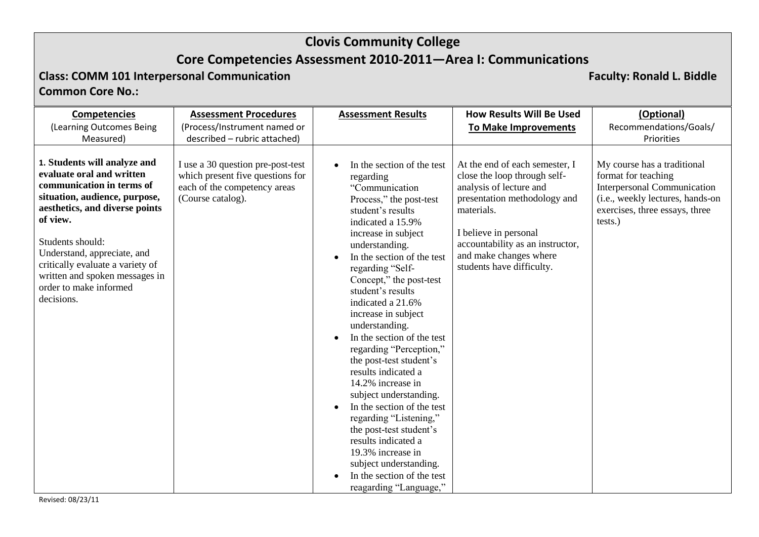# **Core Competencies Assessment 2010-2011—Area I: Communications**

# **Class: COMM 101 Interpersonal Communication Faculty: Ronald L. Biddle**

## **Common Core No.:**

| <b>Competencies</b>                                                                                                                                                                                                                                                                                                                    | <b>Assessment Procedures</b>                                                                                               | <b>Assessment Results</b>                                                                                                                                                                                                                                                                                                                                                                                                                                                                                                                                                                                                                                                                                                                    | <b>How Results Will Be Used</b>                                                                                                                                                                                                                             | (Optional)                                                                                                                                                         |
|----------------------------------------------------------------------------------------------------------------------------------------------------------------------------------------------------------------------------------------------------------------------------------------------------------------------------------------|----------------------------------------------------------------------------------------------------------------------------|----------------------------------------------------------------------------------------------------------------------------------------------------------------------------------------------------------------------------------------------------------------------------------------------------------------------------------------------------------------------------------------------------------------------------------------------------------------------------------------------------------------------------------------------------------------------------------------------------------------------------------------------------------------------------------------------------------------------------------------------|-------------------------------------------------------------------------------------------------------------------------------------------------------------------------------------------------------------------------------------------------------------|--------------------------------------------------------------------------------------------------------------------------------------------------------------------|
| (Learning Outcomes Being                                                                                                                                                                                                                                                                                                               | (Process/Instrument named or                                                                                               |                                                                                                                                                                                                                                                                                                                                                                                                                                                                                                                                                                                                                                                                                                                                              | <b>To Make Improvements</b>                                                                                                                                                                                                                                 | Recommendations/Goals/                                                                                                                                             |
| Measured)                                                                                                                                                                                                                                                                                                                              | described - rubric attached)                                                                                               |                                                                                                                                                                                                                                                                                                                                                                                                                                                                                                                                                                                                                                                                                                                                              |                                                                                                                                                                                                                                                             | Priorities                                                                                                                                                         |
| 1. Students will analyze and<br>evaluate oral and written<br>communication in terms of<br>situation, audience, purpose,<br>aesthetics, and diverse points<br>of view.<br>Students should:<br>Understand, appreciate, and<br>critically evaluate a variety of<br>written and spoken messages in<br>order to make informed<br>decisions. | I use a 30 question pre-post-test<br>which present five questions for<br>each of the competency areas<br>(Course catalog). | In the section of the test<br>regarding<br>"Communication<br>Process," the post-test<br>student's results<br>indicated a 15.9%<br>increase in subject<br>understanding.<br>In the section of the test<br>$\bullet$<br>regarding "Self-<br>Concept," the post-test<br>student's results<br>indicated a 21.6%<br>increase in subject<br>understanding.<br>In the section of the test<br>regarding "Perception,"<br>the post-test student's<br>results indicated a<br>14.2% increase in<br>subject understanding.<br>In the section of the test<br>$\bullet$<br>regarding "Listening,"<br>the post-test student's<br>results indicated a<br>19.3% increase in<br>subject understanding.<br>In the section of the test<br>reagarding "Language," | At the end of each semester, I<br>close the loop through self-<br>analysis of lecture and<br>presentation methodology and<br>materials.<br>I believe in personal<br>accountability as an instructor,<br>and make changes where<br>students have difficulty. | My course has a traditional<br>format for teaching<br>Interpersonal Communication<br>(i.e., weekly lectures, hands-on<br>exercises, three essays, three<br>tests.) |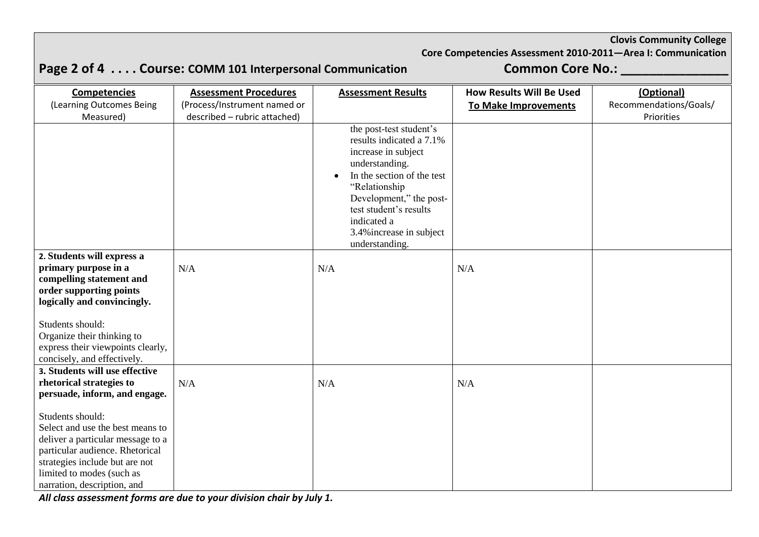## **Core Competencies Assessment 2010-2011—Area I: Communication**

# Page 2 of 4 . . . . Course: COMM 101 Interpersonal Communication **Common Core No.: \_\_\_\_\_\_\_\_\_\_\_\_**

| <b>Competencies</b>                                                                                                                                                                                                        | <b>Assessment Procedures</b> | <b>Assessment Results</b>                                                                                                                                                                                                                                                  | <b>How Results Will Be Used</b> | (Optional)             |
|----------------------------------------------------------------------------------------------------------------------------------------------------------------------------------------------------------------------------|------------------------------|----------------------------------------------------------------------------------------------------------------------------------------------------------------------------------------------------------------------------------------------------------------------------|---------------------------------|------------------------|
| (Learning Outcomes Being                                                                                                                                                                                                   | (Process/Instrument named or |                                                                                                                                                                                                                                                                            | <b>To Make Improvements</b>     | Recommendations/Goals/ |
| Measured)                                                                                                                                                                                                                  | described - rubric attached) |                                                                                                                                                                                                                                                                            |                                 | Priorities             |
|                                                                                                                                                                                                                            |                              | the post-test student's<br>results indicated a 7.1%<br>increase in subject<br>understanding.<br>In the section of the test<br>$\bullet$<br>"Relationship<br>Development," the post-<br>test student's results<br>indicated a<br>3.4% increase in subject<br>understanding. |                                 |                        |
| 2. Students will express a                                                                                                                                                                                                 |                              |                                                                                                                                                                                                                                                                            |                                 |                        |
| primary purpose in a<br>compelling statement and<br>order supporting points<br>logically and convincingly.                                                                                                                 | N/A                          | N/A                                                                                                                                                                                                                                                                        | N/A                             |                        |
| Students should:<br>Organize their thinking to<br>express their viewpoints clearly,<br>concisely, and effectively.                                                                                                         |                              |                                                                                                                                                                                                                                                                            |                                 |                        |
| 3. Students will use effective<br>rhetorical strategies to                                                                                                                                                                 |                              |                                                                                                                                                                                                                                                                            |                                 |                        |
| persuade, inform, and engage.                                                                                                                                                                                              | N/A                          | N/A                                                                                                                                                                                                                                                                        | N/A                             |                        |
| Students should:<br>Select and use the best means to<br>deliver a particular message to a<br>particular audience. Rhetorical<br>strategies include but are not<br>limited to modes (such as<br>narration, description, and |                              |                                                                                                                                                                                                                                                                            |                                 |                        |

*All class assessment forms are due to your division chair by July 1.*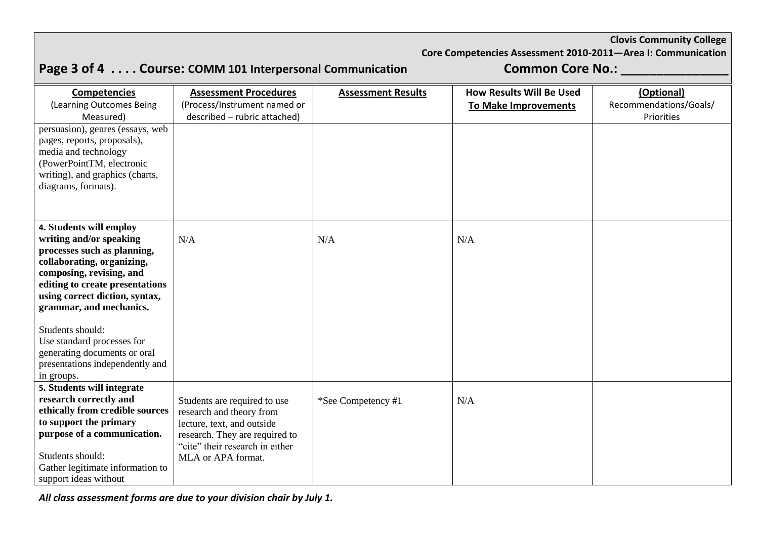# **Page 3 of 4 . . . . Course: COMM 101 Interpersonal Communication Common Core No.: \_\_\_\_\_\_\_\_\_\_\_\_\_\_\_**

**Core Competencies Assessment 2010-2011—Area I: Communication**

| <b>Competencies</b>                      | <b>Assessment Procedures</b>                             | <b>Assessment Results</b> | <b>How Results Will Be Used</b> | (Optional)             |
|------------------------------------------|----------------------------------------------------------|---------------------------|---------------------------------|------------------------|
| (Learning Outcomes Being                 | (Process/Instrument named or                             |                           | <b>To Make Improvements</b>     | Recommendations/Goals/ |
| Measured)                                | described - rubric attached)                             |                           |                                 | Priorities             |
| persuasion), genres (essays, web         |                                                          |                           |                                 |                        |
| pages, reports, proposals),              |                                                          |                           |                                 |                        |
| media and technology                     |                                                          |                           |                                 |                        |
| (PowerPointTM, electronic                |                                                          |                           |                                 |                        |
| writing), and graphics (charts,          |                                                          |                           |                                 |                        |
| diagrams, formats).                      |                                                          |                           |                                 |                        |
|                                          |                                                          |                           |                                 |                        |
|                                          |                                                          |                           |                                 |                        |
| 4. Students will employ                  |                                                          |                           |                                 |                        |
| writing and/or speaking                  | N/A                                                      | N/A                       | N/A                             |                        |
| processes such as planning,              |                                                          |                           |                                 |                        |
| collaborating, organizing,               |                                                          |                           |                                 |                        |
| composing, revising, and                 |                                                          |                           |                                 |                        |
| editing to create presentations          |                                                          |                           |                                 |                        |
| using correct diction, syntax,           |                                                          |                           |                                 |                        |
| grammar, and mechanics.                  |                                                          |                           |                                 |                        |
|                                          |                                                          |                           |                                 |                        |
| Students should:                         |                                                          |                           |                                 |                        |
| Use standard processes for               |                                                          |                           |                                 |                        |
| generating documents or oral             |                                                          |                           |                                 |                        |
| presentations independently and          |                                                          |                           |                                 |                        |
| in groups.<br>5. Students will integrate |                                                          |                           |                                 |                        |
| research correctly and                   |                                                          |                           | N/A                             |                        |
| ethically from credible sources          | Students are required to use<br>research and theory from | *See Competency #1        |                                 |                        |
| to support the primary                   | lecture, text, and outside                               |                           |                                 |                        |
| purpose of a communication.              | research. They are required to                           |                           |                                 |                        |
|                                          | "cite" their research in either                          |                           |                                 |                        |
| Students should:                         | MLA or APA format.                                       |                           |                                 |                        |
| Gather legitimate information to         |                                                          |                           |                                 |                        |
| support ideas without                    |                                                          |                           |                                 |                        |

*All class assessment forms are due to your division chair by July 1.*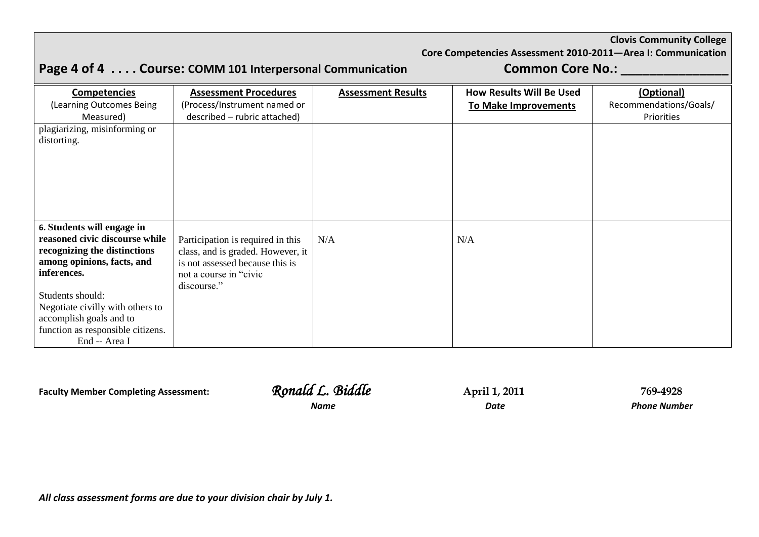**Core Competencies Assessment 2010-2011—Area I: Communication**

|                                                                                                                                                                                                                                                                                    | Page 4 of 4 Course: COMM 101 Interpersonal Communication                                                                                            |                           | <b>Common Core No.:</b>         |                                      |  |
|------------------------------------------------------------------------------------------------------------------------------------------------------------------------------------------------------------------------------------------------------------------------------------|-----------------------------------------------------------------------------------------------------------------------------------------------------|---------------------------|---------------------------------|--------------------------------------|--|
| <b>Competencies</b>                                                                                                                                                                                                                                                                | <b>Assessment Procedures</b>                                                                                                                        | <b>Assessment Results</b> | <b>How Results Will Be Used</b> | (Optional)                           |  |
| (Learning Outcomes Being<br>Measured)                                                                                                                                                                                                                                              | (Process/Instrument named or<br>described - rubric attached)                                                                                        |                           | <b>To Make Improvements</b>     | Recommendations/Goals/<br>Priorities |  |
| plagiarizing, misinforming or<br>distorting.                                                                                                                                                                                                                                       |                                                                                                                                                     |                           |                                 |                                      |  |
| 6. Students will engage in<br>reasoned civic discourse while<br>recognizing the distinctions<br>among opinions, facts, and<br>inferences.<br>Students should:<br>Negotiate civilly with others to<br>accomplish goals and to<br>function as responsible citizens.<br>End -- Area I | Participation is required in this<br>class, and is graded. However, it<br>is not assessed because this is<br>not a course in "civic"<br>discourse." | N/A                       | N/A                             |                                      |  |

**Faculty Member Completing Assessment:** *Ronald L. Biddle* **<b>April 1, 2011 1994928** 

*Name Date Phone Number*

*All class assessment forms are due to your division chair by July 1.*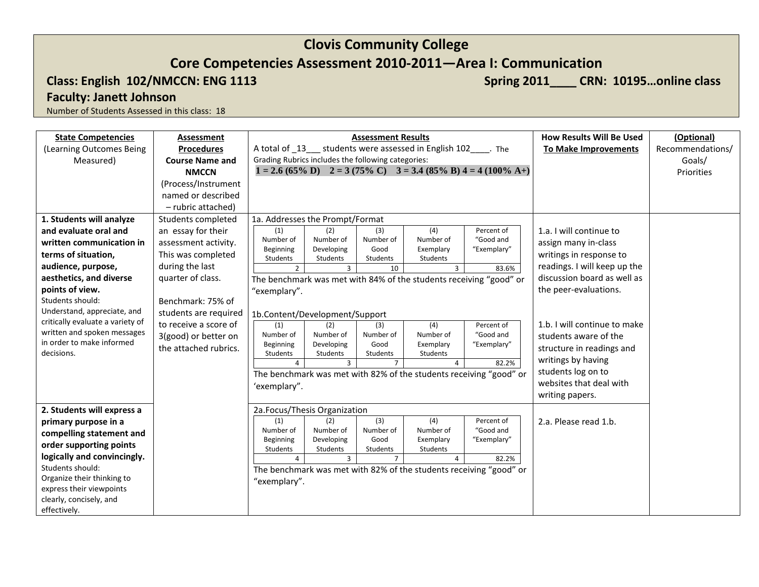## **Core Competencies Assessment 2010-2011—Area I: Communication**

## Class: English 102/NMCCN: ENG 1113 **Spring 2011\_\_\_ CRN: 10195...online class** 3.

**Faculty: Janett Johnson**

| <b>State Competencies</b>               | Assessment             |                                                                                    |                            | <b>Assessment Results</b>  |                       |                                                                                                        | <b>How Results Will Be Used</b> | (Optional)       |
|-----------------------------------------|------------------------|------------------------------------------------------------------------------------|----------------------------|----------------------------|-----------------------|--------------------------------------------------------------------------------------------------------|---------------------------------|------------------|
| (Learning Outcomes Being                | <b>Procedures</b>      | A total of 13 __ students were assessed in English 102 _____. The                  |                            |                            |                       |                                                                                                        | <b>To Make Improvements</b>     | Recommendations/ |
| Measured)                               | <b>Course Name and</b> | Grading Rubrics includes the following categories:                                 |                            |                            |                       |                                                                                                        |                                 | Goals/           |
|                                         | <b>NMCCN</b>           |                                                                                    |                            |                            |                       | $1 = 2.6 (65\% \text{ D})$ $2 = 3 (75\% \text{ C})$ $3 = 3.4 (85\% \text{ B}) 4 = 4 (100\% \text{ A})$ |                                 | Priorities       |
|                                         | (Process/Instrument    |                                                                                    |                            |                            |                       |                                                                                                        |                                 |                  |
|                                         | named or described     |                                                                                    |                            |                            |                       |                                                                                                        |                                 |                  |
|                                         | - rubric attached)     |                                                                                    |                            |                            |                       |                                                                                                        |                                 |                  |
| 1. Students will analyze                | Students completed     | 1a. Addresses the Prompt/Format                                                    |                            |                            |                       |                                                                                                        |                                 |                  |
| and evaluate oral and                   | an essay for their     | (1)                                                                                | (2)                        | (3)                        | (4)                   | Percent of                                                                                             | 1.a. I will continue to         |                  |
| written communication in                | assessment activity.   | Number of                                                                          | Number of                  | Number of                  | Number of             | "Good and                                                                                              | assign many in-class            |                  |
| terms of situation,                     | This was completed     | Beginning<br>Students                                                              | Developing<br>Students     | Good<br>Students           | Exemplary<br>Students | "Exemplary"                                                                                            | writings in response to         |                  |
| audience, purpose,                      | during the last        | $2^{\circ}$                                                                        | $\overline{3}$             | 10                         | $\overline{3}$        | 83.6%                                                                                                  | readings. I will keep up the    |                  |
| aesthetics, and diverse                 | quarter of class.      |                                                                                    |                            |                            |                       |                                                                                                        | discussion board as well as     |                  |
| points of view.                         |                        | The benchmark was met with 84% of the students receiving "good" or<br>"exemplary". |                            |                            |                       |                                                                                                        | the peer-evaluations.           |                  |
| Students should:                        | Benchmark: 75% of      |                                                                                    |                            |                            |                       |                                                                                                        |                                 |                  |
| Understand, appreciate, and             | students are required  | 1b.Content/Development/Support                                                     |                            |                            |                       |                                                                                                        |                                 |                  |
| critically evaluate a variety of        | to receive a score of  | (1)                                                                                | (2)                        | (3)                        | (4)                   | Percent of                                                                                             | 1.b. I will continue to make    |                  |
| written and spoken messages             | 3(good) or better on   | Number of                                                                          | Number of                  | Number of                  | Number of             | "Good and                                                                                              | students aware of the           |                  |
| in order to make informed<br>decisions. | the attached rubrics.  | Beginning<br>Students                                                              | Developing<br>Students     | Good<br>Students           | Exemplary<br>Students | "Exemplary"                                                                                            | structure in readings and       |                  |
|                                         |                        | $\overline{a}$                                                                     | $\overline{3}$             | $\overline{7}$             | 4                     | 82.2%                                                                                                  | writings by having              |                  |
|                                         |                        |                                                                                    |                            |                            |                       | The benchmark was met with 82% of the students receiving "good" or                                     | students log on to              |                  |
|                                         |                        | 'exemplary".                                                                       |                            |                            |                       |                                                                                                        | websites that deal with         |                  |
|                                         |                        |                                                                                    |                            |                            |                       |                                                                                                        | writing papers.                 |                  |
| 2. Students will express a              |                        | 2a.Focus/Thesis Organization                                                       |                            |                            |                       |                                                                                                        |                                 |                  |
| primary purpose in a                    |                        | (1)                                                                                | (2)                        | (3)                        | (4)                   | Percent of                                                                                             | 2.a. Please read 1.b.           |                  |
| compelling statement and                |                        | Number of                                                                          | Number of                  | Number of                  | Number of             | "Good and                                                                                              |                                 |                  |
| order supporting points                 |                        | Beginning                                                                          | Developing                 | Good                       | Exemplary             | "Exemplary"                                                                                            |                                 |                  |
| logically and convincingly.             |                        | Students<br>$\Delta$                                                               | Students<br>$\overline{3}$ | Students<br>$\overline{7}$ | Students<br>4         | 82.2%                                                                                                  |                                 |                  |
| Students should:                        |                        |                                                                                    |                            |                            |                       | The benchmark was met with 82% of the students receiving "good" or                                     |                                 |                  |
| Organize their thinking to              |                        | "exemplary".                                                                       |                            |                            |                       |                                                                                                        |                                 |                  |
| express their viewpoints                |                        |                                                                                    |                            |                            |                       |                                                                                                        |                                 |                  |
| clearly, concisely, and                 |                        |                                                                                    |                            |                            |                       |                                                                                                        |                                 |                  |
| effectively.                            |                        |                                                                                    |                            |                            |                       |                                                                                                        |                                 |                  |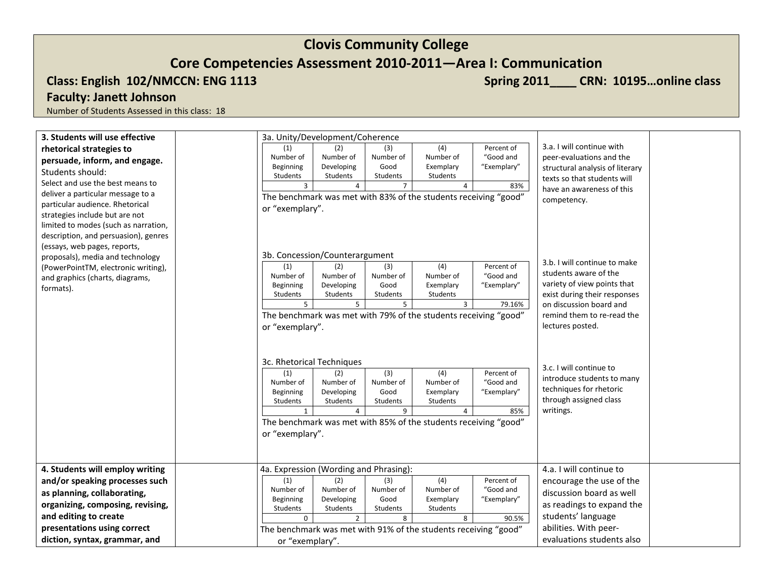**Core Competencies Assessment 2010-2011—Area I: Communication**

Class: English 102/NMCCN: ENG 1113 **Spring 2011\_\_\_ CRN: 10195...online class** 3.

## **Faculty: Janett Johnson**

| 3. Students will use effective                                       | 3a. Unity/Development/Coherence                                                                                                                                                                                                                                                                                                                                                                                                                                                                              |  |
|----------------------------------------------------------------------|--------------------------------------------------------------------------------------------------------------------------------------------------------------------------------------------------------------------------------------------------------------------------------------------------------------------------------------------------------------------------------------------------------------------------------------------------------------------------------------------------------------|--|
| rhetorical strategies to                                             | 3.a. I will continue with<br>(4)<br>(1)<br>Percent of<br>(2)<br>(3)                                                                                                                                                                                                                                                                                                                                                                                                                                          |  |
| persuade, inform, and engage.                                        | Number of<br>"Good and<br>peer-evaluations and the<br>Number of<br>Number of<br>Number of                                                                                                                                                                                                                                                                                                                                                                                                                    |  |
| Students should:                                                     | Good<br>"Exemplary"<br>Beginning<br>Developing<br>Exemplary<br>structural analysis of literary                                                                                                                                                                                                                                                                                                                                                                                                               |  |
| Select and use the best means to                                     | Students<br>Students<br>Students<br>Students<br>texts so that students will                                                                                                                                                                                                                                                                                                                                                                                                                                  |  |
|                                                                      | $\overline{4}$<br>$7\overline{ }$<br>3<br>$\overline{4}$<br>83%<br>have an awareness of this                                                                                                                                                                                                                                                                                                                                                                                                                 |  |
| deliver a particular message to a<br>particular audience. Rhetorical | The benchmark was met with 83% of the students receiving "good"<br>competency.                                                                                                                                                                                                                                                                                                                                                                                                                               |  |
| strategies include but are not                                       | or "exemplary".                                                                                                                                                                                                                                                                                                                                                                                                                                                                                              |  |
| limited to modes (such as narration,                                 |                                                                                                                                                                                                                                                                                                                                                                                                                                                                                                              |  |
| description, and persuasion), genres                                 |                                                                                                                                                                                                                                                                                                                                                                                                                                                                                                              |  |
| (essays, web pages, reports,                                         |                                                                                                                                                                                                                                                                                                                                                                                                                                                                                                              |  |
| proposals), media and technology                                     | 3b. Concession/Counterargument                                                                                                                                                                                                                                                                                                                                                                                                                                                                               |  |
| (PowerPointTM, electronic writing),                                  | 3.b. I will continue to make<br>(4)<br>Percent of<br>(1)<br>(2)<br>(3)                                                                                                                                                                                                                                                                                                                                                                                                                                       |  |
| and graphics (charts, diagrams,                                      | students aware of the<br>"Good and<br>Number of<br>Number of<br>Number of<br>Number of                                                                                                                                                                                                                                                                                                                                                                                                                       |  |
| formats).                                                            | variety of view points that<br>Developing<br>Good<br>Exemplary<br>"Exemplary"<br>Beginning                                                                                                                                                                                                                                                                                                                                                                                                                   |  |
|                                                                      | Students<br>Students<br>exist during their responses<br>Students<br>Students                                                                                                                                                                                                                                                                                                                                                                                                                                 |  |
|                                                                      | 5<br>5<br>5<br>$\overline{3}$<br>79.16%<br>on discussion board and                                                                                                                                                                                                                                                                                                                                                                                                                                           |  |
|                                                                      | The benchmark was met with 79% of the students receiving "good"<br>remind them to re-read the                                                                                                                                                                                                                                                                                                                                                                                                                |  |
|                                                                      | lectures posted.<br>or "exemplary".                                                                                                                                                                                                                                                                                                                                                                                                                                                                          |  |
|                                                                      | 3c. Rhetorical Techniques<br>3.c. I will continue to<br>(4)<br>Percent of<br>(3)<br>(1)<br>(2)<br>introduce students to many<br>Number of<br>"Good and<br>Number of<br>Number of<br>Number of<br>techniques for rhetoric<br>Good<br>Beginning<br>Developing<br>Exemplary<br>"Exemplary"<br>through assigned class<br>Students<br>Students<br>Students<br>Students<br>writings.<br>9<br>85%<br>1<br>4<br>$\overline{4}$<br>The benchmark was met with 85% of the students receiving "good"<br>or "exemplary". |  |
| 4. Students will employ writing                                      | 4.a. I will continue to<br>4a. Expression (Wording and Phrasing):                                                                                                                                                                                                                                                                                                                                                                                                                                            |  |
| and/or speaking processes such                                       | (2)<br>$\overline{(4)}$<br>(1)<br>(3)<br>Percent of<br>encourage the use of the                                                                                                                                                                                                                                                                                                                                                                                                                              |  |
| as planning, collaborating,                                          | Number of<br>Number of<br>Number of<br>"Good and<br>Number of<br>discussion board as well                                                                                                                                                                                                                                                                                                                                                                                                                    |  |
| organizing, composing, revising,                                     | Good<br>"Exemplary"<br>Beginning<br>Developing<br>Exemplary<br>as readings to expand the<br>Students<br>Students<br>Students<br>Students                                                                                                                                                                                                                                                                                                                                                                     |  |
| and editing to create                                                | students' language<br>8<br>$\Omega$<br>$\overline{2}$<br>8<br>90.5%                                                                                                                                                                                                                                                                                                                                                                                                                                          |  |
| presentations using correct                                          | abilities. With peer-<br>The benchmark was met with 91% of the students receiving "good"                                                                                                                                                                                                                                                                                                                                                                                                                     |  |
| diction, syntax, grammar, and                                        | evaluations students also<br>or "exemplary".                                                                                                                                                                                                                                                                                                                                                                                                                                                                 |  |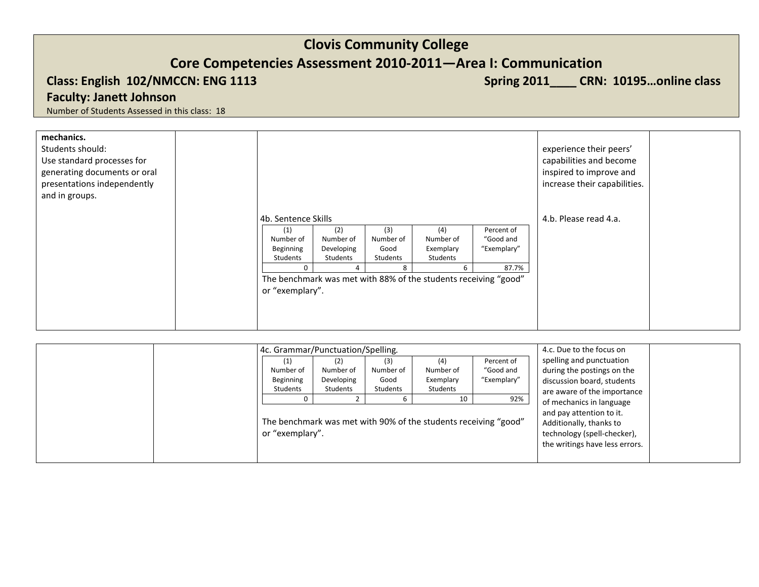## **Core Competencies Assessment 2010-2011—Area I: Communication**

## Class: English 102/NMCCN: ENG 1113 **Spring 2011\_\_\_ CRN: 10195...online class** 3.

## **Faculty: Janett Johnson**

| mechanics.<br>Students should:<br>Use standard processes for<br>generating documents or oral<br>presentations independently<br>and in groups. |                                           |                                            |                                      |                                                                 |                                        | experience their peers'<br>capabilities and become<br>inspired to improve and<br>increase their capabilities. |  |
|-----------------------------------------------------------------------------------------------------------------------------------------------|-------------------------------------------|--------------------------------------------|--------------------------------------|-----------------------------------------------------------------|----------------------------------------|---------------------------------------------------------------------------------------------------------------|--|
|                                                                                                                                               | 4b. Sentence Skills                       |                                            |                                      |                                                                 |                                        | 4.b. Please read 4.a.                                                                                         |  |
|                                                                                                                                               | (1)<br>Number of<br>Beginning<br>Students | (2)<br>Number of<br>Developing<br>Students | (3)<br>Number of<br>Good<br>Students | (4)<br>Number of<br>Exemplary<br>Students                       | Percent of<br>"Good and<br>"Exemplary" |                                                                                                               |  |
|                                                                                                                                               | $\Omega$<br>or "exemplary".               | 4                                          | 8                                    | The benchmark was met with 88% of the students receiving "good" | 87.7%                                  |                                                                                                               |  |
|                                                                                                                                               |                                           |                                            |                                      |                                                                 |                                        |                                                                                                               |  |

|  | 4c. Grammar/Punctuation/Spelling.                               |            |           |                                                     |             | 4.c. Due to the focus on       |
|--|-----------------------------------------------------------------|------------|-----------|-----------------------------------------------------|-------------|--------------------------------|
|  | (1)                                                             |            | (3)       | (4)                                                 | Percent of  | spelling and punctuation       |
|  | Number of                                                       | Number of  | Number of | Number of                                           | "Good and   | during the postings on the     |
|  | Beginning                                                       | Developing | Good      | Exemplary                                           | "Exemplary" | discussion board, students     |
|  | Students                                                        | Students   | Students  | Students                                            |             | are aware of the importance    |
|  |                                                                 |            |           | 10                                                  | 92%         | of mechanics in language       |
|  | The benchmark was met with 90% of the students receiving "good" |            |           | and pay attention to it.<br>Additionally, thanks to |             |                                |
|  | or "exemplary".                                                 |            |           |                                                     |             | technology (spell-checker),    |
|  |                                                                 |            |           |                                                     |             | the writings have less errors. |
|  |                                                                 |            |           |                                                     |             |                                |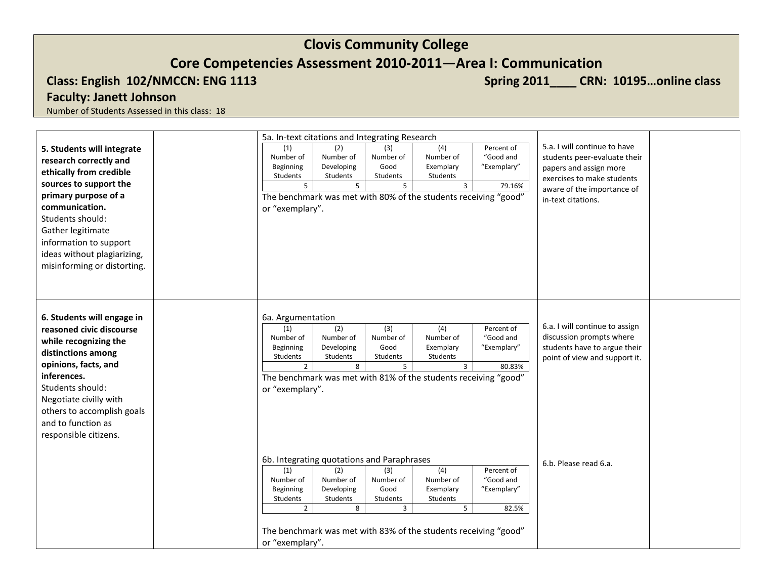## **Core Competencies Assessment 2010-2011—Area I: Communication**

Class: English 102/NMCCN: ENG 1113 **Spring 2011\_\_\_ CRN: 10195...online class** 3.

## **Faculty: Janett Johnson**

| 5.a. I will continue to have<br>(2)<br>(3)<br>(4)<br>Percent of<br>5. Students will integrate<br>(1)<br>Number of<br>Number of<br>Number of<br>"Good and<br>Number of<br>students peer-evaluate their<br>research correctly and<br>Developing<br>Good<br>Exemplary<br>"Exemplary"<br>Beginning<br>papers and assign more<br>ethically from credible<br>Students<br>Students<br>Students<br>Students<br>exercises to make students<br>sources to support the<br>5 <sup>5</sup><br>5<br>5<br>$\overline{3}$<br>79.16%<br>aware of the importance of<br>primary purpose of a<br>The benchmark was met with 80% of the students receiving "good"<br>in-text citations.<br>communication.<br>or "exemplary".<br>Students should:<br>Gather legitimate<br>information to support<br>ideas without plagiarizing,<br>misinforming or distorting.<br>6. Students will engage in<br>6a. Argumentation<br>6.a. I will continue to assign<br>(1)<br>(2)<br>(3)<br>(4)<br>Percent of<br>reasoned civic discourse<br>discussion prompts where<br>"Good and<br>Number of<br>Number of<br>Number of<br>Number of<br>while recognizing the<br>Good<br>Exemplary<br>students have to argue their<br>Beginning<br>Developing<br>"Exemplary"<br>distinctions among<br>Students<br>Students<br>Students<br>Students<br>point of view and support it.<br>opinions, facts, and<br>$\overline{2}$<br>8<br>$5^{\circ}$<br>$\overline{3}$<br>80.83%<br>inferences.<br>The benchmark was met with 81% of the students receiving "good"<br>Students should:<br>or "exemplary".<br>Negotiate civilly with<br>others to accomplish goals<br>and to function as |                       | 5a. In-text citations and Integrating Research |  |
|----------------------------------------------------------------------------------------------------------------------------------------------------------------------------------------------------------------------------------------------------------------------------------------------------------------------------------------------------------------------------------------------------------------------------------------------------------------------------------------------------------------------------------------------------------------------------------------------------------------------------------------------------------------------------------------------------------------------------------------------------------------------------------------------------------------------------------------------------------------------------------------------------------------------------------------------------------------------------------------------------------------------------------------------------------------------------------------------------------------------------------------------------------------------------------------------------------------------------------------------------------------------------------------------------------------------------------------------------------------------------------------------------------------------------------------------------------------------------------------------------------------------------------------------------------------------------------------------------------------------------------|-----------------------|------------------------------------------------|--|
|                                                                                                                                                                                                                                                                                                                                                                                                                                                                                                                                                                                                                                                                                                                                                                                                                                                                                                                                                                                                                                                                                                                                                                                                                                                                                                                                                                                                                                                                                                                                                                                                                                  |                       |                                                |  |
|                                                                                                                                                                                                                                                                                                                                                                                                                                                                                                                                                                                                                                                                                                                                                                                                                                                                                                                                                                                                                                                                                                                                                                                                                                                                                                                                                                                                                                                                                                                                                                                                                                  |                       |                                                |  |
|                                                                                                                                                                                                                                                                                                                                                                                                                                                                                                                                                                                                                                                                                                                                                                                                                                                                                                                                                                                                                                                                                                                                                                                                                                                                                                                                                                                                                                                                                                                                                                                                                                  |                       |                                                |  |
|                                                                                                                                                                                                                                                                                                                                                                                                                                                                                                                                                                                                                                                                                                                                                                                                                                                                                                                                                                                                                                                                                                                                                                                                                                                                                                                                                                                                                                                                                                                                                                                                                                  |                       |                                                |  |
|                                                                                                                                                                                                                                                                                                                                                                                                                                                                                                                                                                                                                                                                                                                                                                                                                                                                                                                                                                                                                                                                                                                                                                                                                                                                                                                                                                                                                                                                                                                                                                                                                                  |                       |                                                |  |
|                                                                                                                                                                                                                                                                                                                                                                                                                                                                                                                                                                                                                                                                                                                                                                                                                                                                                                                                                                                                                                                                                                                                                                                                                                                                                                                                                                                                                                                                                                                                                                                                                                  |                       |                                                |  |
|                                                                                                                                                                                                                                                                                                                                                                                                                                                                                                                                                                                                                                                                                                                                                                                                                                                                                                                                                                                                                                                                                                                                                                                                                                                                                                                                                                                                                                                                                                                                                                                                                                  |                       |                                                |  |
|                                                                                                                                                                                                                                                                                                                                                                                                                                                                                                                                                                                                                                                                                                                                                                                                                                                                                                                                                                                                                                                                                                                                                                                                                                                                                                                                                                                                                                                                                                                                                                                                                                  |                       |                                                |  |
|                                                                                                                                                                                                                                                                                                                                                                                                                                                                                                                                                                                                                                                                                                                                                                                                                                                                                                                                                                                                                                                                                                                                                                                                                                                                                                                                                                                                                                                                                                                                                                                                                                  |                       |                                                |  |
|                                                                                                                                                                                                                                                                                                                                                                                                                                                                                                                                                                                                                                                                                                                                                                                                                                                                                                                                                                                                                                                                                                                                                                                                                                                                                                                                                                                                                                                                                                                                                                                                                                  |                       |                                                |  |
|                                                                                                                                                                                                                                                                                                                                                                                                                                                                                                                                                                                                                                                                                                                                                                                                                                                                                                                                                                                                                                                                                                                                                                                                                                                                                                                                                                                                                                                                                                                                                                                                                                  |                       |                                                |  |
|                                                                                                                                                                                                                                                                                                                                                                                                                                                                                                                                                                                                                                                                                                                                                                                                                                                                                                                                                                                                                                                                                                                                                                                                                                                                                                                                                                                                                                                                                                                                                                                                                                  |                       |                                                |  |
|                                                                                                                                                                                                                                                                                                                                                                                                                                                                                                                                                                                                                                                                                                                                                                                                                                                                                                                                                                                                                                                                                                                                                                                                                                                                                                                                                                                                                                                                                                                                                                                                                                  |                       |                                                |  |
|                                                                                                                                                                                                                                                                                                                                                                                                                                                                                                                                                                                                                                                                                                                                                                                                                                                                                                                                                                                                                                                                                                                                                                                                                                                                                                                                                                                                                                                                                                                                                                                                                                  |                       |                                                |  |
|                                                                                                                                                                                                                                                                                                                                                                                                                                                                                                                                                                                                                                                                                                                                                                                                                                                                                                                                                                                                                                                                                                                                                                                                                                                                                                                                                                                                                                                                                                                                                                                                                                  |                       |                                                |  |
|                                                                                                                                                                                                                                                                                                                                                                                                                                                                                                                                                                                                                                                                                                                                                                                                                                                                                                                                                                                                                                                                                                                                                                                                                                                                                                                                                                                                                                                                                                                                                                                                                                  |                       |                                                |  |
|                                                                                                                                                                                                                                                                                                                                                                                                                                                                                                                                                                                                                                                                                                                                                                                                                                                                                                                                                                                                                                                                                                                                                                                                                                                                                                                                                                                                                                                                                                                                                                                                                                  |                       |                                                |  |
|                                                                                                                                                                                                                                                                                                                                                                                                                                                                                                                                                                                                                                                                                                                                                                                                                                                                                                                                                                                                                                                                                                                                                                                                                                                                                                                                                                                                                                                                                                                                                                                                                                  |                       |                                                |  |
|                                                                                                                                                                                                                                                                                                                                                                                                                                                                                                                                                                                                                                                                                                                                                                                                                                                                                                                                                                                                                                                                                                                                                                                                                                                                                                                                                                                                                                                                                                                                                                                                                                  |                       |                                                |  |
|                                                                                                                                                                                                                                                                                                                                                                                                                                                                                                                                                                                                                                                                                                                                                                                                                                                                                                                                                                                                                                                                                                                                                                                                                                                                                                                                                                                                                                                                                                                                                                                                                                  |                       |                                                |  |
|                                                                                                                                                                                                                                                                                                                                                                                                                                                                                                                                                                                                                                                                                                                                                                                                                                                                                                                                                                                                                                                                                                                                                                                                                                                                                                                                                                                                                                                                                                                                                                                                                                  |                       |                                                |  |
|                                                                                                                                                                                                                                                                                                                                                                                                                                                                                                                                                                                                                                                                                                                                                                                                                                                                                                                                                                                                                                                                                                                                                                                                                                                                                                                                                                                                                                                                                                                                                                                                                                  |                       |                                                |  |
|                                                                                                                                                                                                                                                                                                                                                                                                                                                                                                                                                                                                                                                                                                                                                                                                                                                                                                                                                                                                                                                                                                                                                                                                                                                                                                                                                                                                                                                                                                                                                                                                                                  |                       |                                                |  |
|                                                                                                                                                                                                                                                                                                                                                                                                                                                                                                                                                                                                                                                                                                                                                                                                                                                                                                                                                                                                                                                                                                                                                                                                                                                                                                                                                                                                                                                                                                                                                                                                                                  |                       |                                                |  |
|                                                                                                                                                                                                                                                                                                                                                                                                                                                                                                                                                                                                                                                                                                                                                                                                                                                                                                                                                                                                                                                                                                                                                                                                                                                                                                                                                                                                                                                                                                                                                                                                                                  | responsible citizens. |                                                |  |
|                                                                                                                                                                                                                                                                                                                                                                                                                                                                                                                                                                                                                                                                                                                                                                                                                                                                                                                                                                                                                                                                                                                                                                                                                                                                                                                                                                                                                                                                                                                                                                                                                                  |                       |                                                |  |
| 6b. Integrating quotations and Paraphrases<br>6.b. Please read 6.a.                                                                                                                                                                                                                                                                                                                                                                                                                                                                                                                                                                                                                                                                                                                                                                                                                                                                                                                                                                                                                                                                                                                                                                                                                                                                                                                                                                                                                                                                                                                                                              |                       |                                                |  |
| $\overline{(4)}$<br>(1)<br>(2)<br>(3)<br>Percent of                                                                                                                                                                                                                                                                                                                                                                                                                                                                                                                                                                                                                                                                                                                                                                                                                                                                                                                                                                                                                                                                                                                                                                                                                                                                                                                                                                                                                                                                                                                                                                              |                       |                                                |  |
| Number of<br>Number of<br>Number of<br>"Good and<br>Number of                                                                                                                                                                                                                                                                                                                                                                                                                                                                                                                                                                                                                                                                                                                                                                                                                                                                                                                                                                                                                                                                                                                                                                                                                                                                                                                                                                                                                                                                                                                                                                    |                       |                                                |  |
| Good<br>Exemplary<br>"Exemplary"<br>Beginning<br>Developing<br>Students<br>Students<br>Students<br>Students                                                                                                                                                                                                                                                                                                                                                                                                                                                                                                                                                                                                                                                                                                                                                                                                                                                                                                                                                                                                                                                                                                                                                                                                                                                                                                                                                                                                                                                                                                                      |                       |                                                |  |
| $\overline{2}$<br>8<br>3<br>5<br>82.5%                                                                                                                                                                                                                                                                                                                                                                                                                                                                                                                                                                                                                                                                                                                                                                                                                                                                                                                                                                                                                                                                                                                                                                                                                                                                                                                                                                                                                                                                                                                                                                                           |                       |                                                |  |
|                                                                                                                                                                                                                                                                                                                                                                                                                                                                                                                                                                                                                                                                                                                                                                                                                                                                                                                                                                                                                                                                                                                                                                                                                                                                                                                                                                                                                                                                                                                                                                                                                                  |                       |                                                |  |
| The benchmark was met with 83% of the students receiving "good"                                                                                                                                                                                                                                                                                                                                                                                                                                                                                                                                                                                                                                                                                                                                                                                                                                                                                                                                                                                                                                                                                                                                                                                                                                                                                                                                                                                                                                                                                                                                                                  |                       |                                                |  |
| or "exemplary".                                                                                                                                                                                                                                                                                                                                                                                                                                                                                                                                                                                                                                                                                                                                                                                                                                                                                                                                                                                                                                                                                                                                                                                                                                                                                                                                                                                                                                                                                                                                                                                                                  |                       |                                                |  |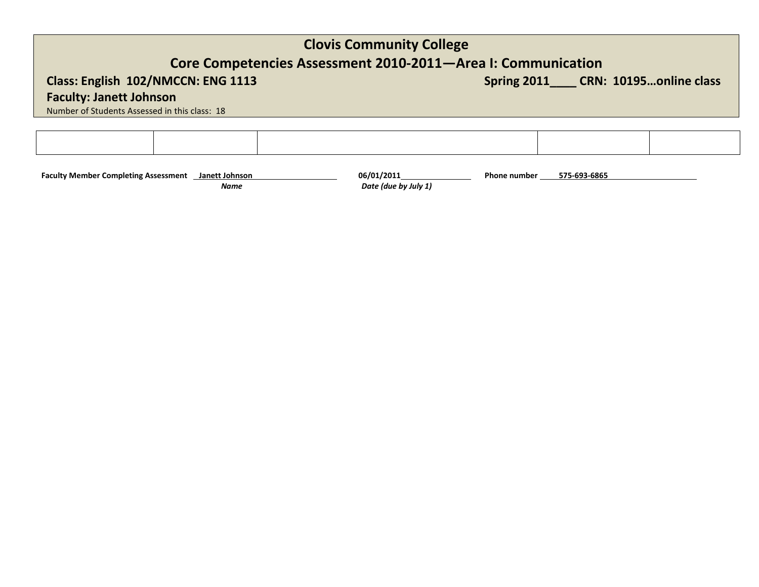## **Core Competencies Assessment 2010-2011—Area I: Communication**

Class: English 102/NMCCN: ENG 1113 **Spring 2011\_\_\_\_ CRN: 10195...online class** Spring 2011\_\_\_\_ CRN: 10195...online class

**Faculty: Janett Johnson**

Number of Students Assessed in this class: 18

**Faculty Member Completing Assessment Janett Johnson** 06/01/2011 06/01/2011 Phone number  *Name Date (due by July 1)* **575-693-6865**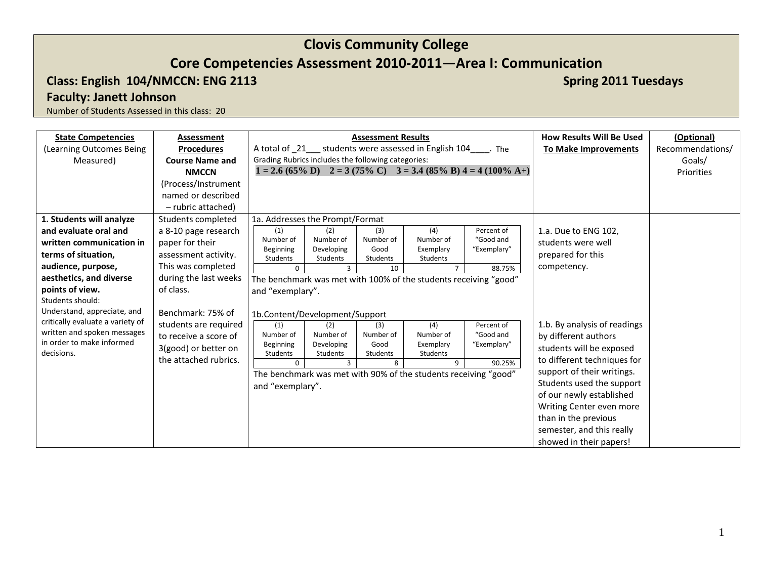## **Core Competencies Assessment 2010-2011—Area I: Communication**

## **Class: English 104/NMCCN: ENG 2113 Spring 2011 Tuesdays Spring 2011 Tuesdays Spring 2011 Tuesdays**

**Faculty: Janett Johnson**

| <b>State Competencies</b>                                | <b>Assessment</b>      |                                                    |                        | <b>Assessment Results</b> |                                                                   |                                                                                                        | <b>How Results Will Be Used</b> | (Optional)       |
|----------------------------------------------------------|------------------------|----------------------------------------------------|------------------------|---------------------------|-------------------------------------------------------------------|--------------------------------------------------------------------------------------------------------|---------------------------------|------------------|
| (Learning Outcomes Being                                 | <b>Procedures</b>      |                                                    |                        |                           | A total of _21___ students were assessed in English 104_____. The |                                                                                                        | <b>To Make Improvements</b>     | Recommendations/ |
| Measured)                                                | <b>Course Name and</b> | Grading Rubrics includes the following categories: |                        |                           |                                                                   |                                                                                                        |                                 | Goals/           |
|                                                          | <b>NMCCN</b>           |                                                    |                        |                           |                                                                   | $1 = 2.6 (65\% \text{ D})$ $2 = 3 (75\% \text{ C})$ $3 = 3.4 (85\% \text{ B}) 4 = 4 (100\% \text{ A})$ |                                 | Priorities       |
|                                                          | (Process/Instrument    |                                                    |                        |                           |                                                                   |                                                                                                        |                                 |                  |
|                                                          | named or described     |                                                    |                        |                           |                                                                   |                                                                                                        |                                 |                  |
|                                                          | - rubric attached)     |                                                    |                        |                           |                                                                   |                                                                                                        |                                 |                  |
| 1. Students will analyze                                 | Students completed     | 1a. Addresses the Prompt/Format                    |                        |                           |                                                                   |                                                                                                        |                                 |                  |
| and evaluate oral and                                    | a 8-10 page research   | (1)                                                | (2)                    | (3)                       | (4)                                                               | Percent of                                                                                             | 1.a. Due to ENG 102,            |                  |
| written communication in                                 | paper for their        | Number of                                          | Number of              | Number of                 | Number of                                                         | "Good and                                                                                              | students were well              |                  |
| terms of situation,                                      | assessment activity.   | Beginning<br>Students                              | Developing<br>Students | Good<br>Students          | Exemplary<br>Students                                             | "Exemplary"                                                                                            | prepared for this               |                  |
| audience, purpose,                                       | This was completed     | $\Omega$                                           | 3                      | 10                        | $\overline{7}$                                                    | 88.75%                                                                                                 | competency.                     |                  |
| aesthetics, and diverse                                  | during the last weeks  |                                                    |                        |                           | The benchmark was met with 100% of the students receiving "good"  |                                                                                                        |                                 |                  |
| points of view.                                          | of class.              | and "exemplary".                                   |                        |                           |                                                                   |                                                                                                        |                                 |                  |
| Students should:                                         |                        |                                                    |                        |                           |                                                                   |                                                                                                        |                                 |                  |
| Understand, appreciate, and                              | Benchmark: 75% of      | 1b.Content/Development/Support                     |                        |                           |                                                                   |                                                                                                        |                                 |                  |
| critically evaluate a variety of                         | students are required  | (1)                                                | (2)                    | (3)                       | (4)                                                               | Percent of                                                                                             | 1.b. By analysis of readings    |                  |
| written and spoken messages<br>in order to make informed | to receive a score of  | Number of                                          | Number of              | Number of                 | Number of                                                         | "Good and                                                                                              | by different authors            |                  |
| decisions.                                               | 3(good) or better on   | Beginning<br>Students                              | Developing<br>Students | Good<br>Students          | Exemplary<br>Students                                             | "Exemplary"                                                                                            | students will be exposed        |                  |
|                                                          | the attached rubrics.  | $\Omega$                                           | $\mathbf{R}$           | 8                         | 9                                                                 | 90.25%                                                                                                 | to different techniques for     |                  |
|                                                          |                        |                                                    |                        |                           | The benchmark was met with 90% of the students receiving "good"   |                                                                                                        | support of their writings.      |                  |
|                                                          |                        | and "exemplary".                                   |                        |                           |                                                                   |                                                                                                        | Students used the support       |                  |
|                                                          |                        |                                                    |                        |                           |                                                                   |                                                                                                        | of our newly established        |                  |
|                                                          |                        |                                                    |                        |                           |                                                                   |                                                                                                        | Writing Center even more        |                  |
|                                                          |                        |                                                    |                        |                           |                                                                   |                                                                                                        | than in the previous            |                  |
|                                                          |                        |                                                    |                        |                           |                                                                   |                                                                                                        | semester, and this really       |                  |
|                                                          |                        |                                                    |                        |                           |                                                                   |                                                                                                        | showed in their papers!         |                  |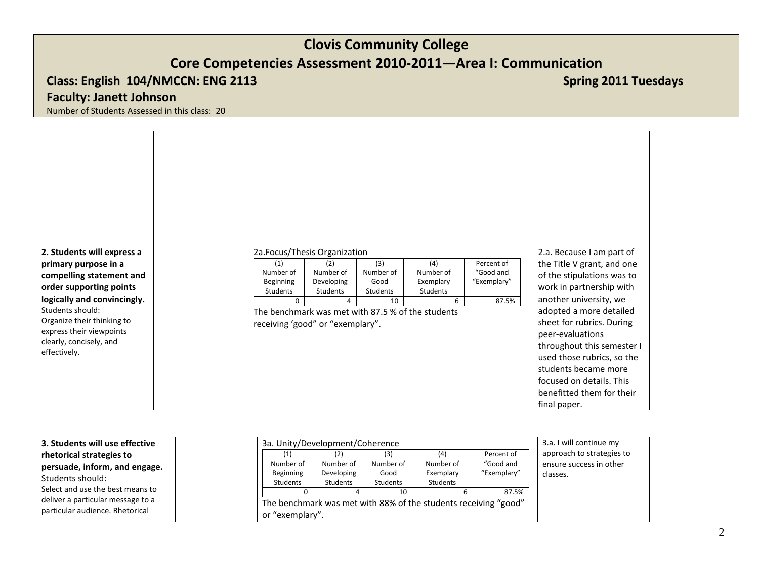## **Core Competencies Assessment 2010-2011—Area I: Communication**

## **Class: English 104/NMCCN: ENG 2113 Spring 2011 Tuesdays Spring 2011 Tuesdays Spring 2011 Tuesdays**

## **Faculty: Janett Johnson**

| 2. Students will express a<br>primary purpose in a  | 2a.Focus/Thesis Organization<br>(4)<br>Percent of<br>(3)<br>$\left( 1\right)$<br>(2)                                                                                    | 2.a. Because I am part of<br>the Title V grant, and one |
|-----------------------------------------------------|-------------------------------------------------------------------------------------------------------------------------------------------------------------------------|---------------------------------------------------------|
| compelling statement and<br>order supporting points | Number of<br>Number of<br>Number of<br>Number of<br>"Good and<br>Exemplary<br>"Exemplary"<br>Beginning<br>Developing<br>Good<br>Students<br>Students<br><b>Students</b> | of the stipulations was to<br>work in partnership with  |
| logically and convincingly.                         | Students<br>87.5%<br>10<br>$\Omega$<br>6                                                                                                                                | another university, we                                  |
| Students should:<br>Organize their thinking to      | The benchmark was met with 87.5 % of the students<br>receiving 'good" or "exemplary".                                                                                   | adopted a more detailed<br>sheet for rubrics. During    |
| express their viewpoints                            |                                                                                                                                                                         | peer-evaluations                                        |
| clearly, concisely, and<br>effectively.             |                                                                                                                                                                         | throughout this semester I                              |
|                                                     |                                                                                                                                                                         | used those rubrics, so the<br>students became more      |
|                                                     |                                                                                                                                                                         | focused on details. This                                |
|                                                     |                                                                                                                                                                         | benefitted them for their                               |
|                                                     |                                                                                                                                                                         | final paper.                                            |

| 3. Students will use effective                                       | 3a. Unity/Development/Coherence                                                    |                                |                          | 3.a. I will continue my       |                                        |                                                      |
|----------------------------------------------------------------------|------------------------------------------------------------------------------------|--------------------------------|--------------------------|-------------------------------|----------------------------------------|------------------------------------------------------|
| rhetorical strategies to<br>persuade, inform, and engage.            | Number of<br>Beginning                                                             | (2)<br>Number of<br>Developing | (3)<br>Number of<br>Good | (4)<br>Number of<br>Exemplary | Percent of<br>"Good and<br>"Exemplary" | approach to strategies to<br>ensure success in other |
| Students should:                                                     | <b>Students</b>                                                                    | <b>Students</b>                | Students                 | Students                      |                                        | classes.                                             |
| Select and use the best means to                                     |                                                                                    |                                |                          |                               | 87.5%                                  |                                                      |
| deliver a particular message to a<br>particular audience. Rhetorical | The benchmark was met with 88% of the students receiving "good"<br>or "exemplary". |                                |                          |                               |                                        |                                                      |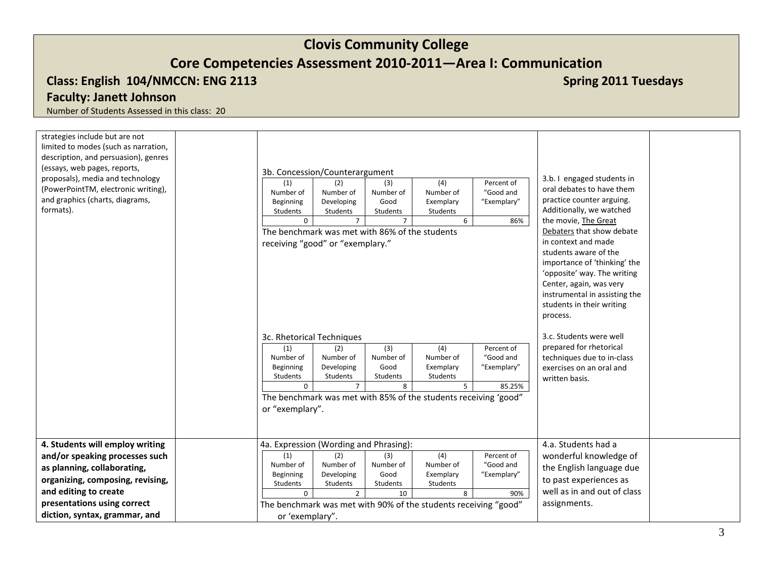# **Core Competencies Assessment 2010-2011—Area I: Communication**

## **Class: English 104/NMCCN: ENG 2113 Spring 2011 Tuesdays Spring 2011 Tuesdays Spring 2011 Tuesdays**

## **Faculty: Janett Johnson**

| strategies include but are not<br>limited to modes (such as narration,<br>description, and persuasion), genres<br>(essays, web pages, reports,<br>proposals), media and technology<br>(PowerPointTM, electronic writing),<br>and graphics (charts, diagrams,<br>formats). | 3b. Concession/Counterargument<br>(3)<br>(4)<br>Percent of<br>(2)<br>(1)<br>Number of<br>"Good and<br>Number of<br>Number of<br>Number of<br>Beginning<br>Developing<br>Good<br>"Exemplary"<br>Exemplary<br>Students<br>Students<br>Students<br>Students<br>6<br>86%<br>$\overline{7}$<br>$\Omega$<br>The benchmark was met with 86% of the students<br>receiving "good" or "exemplary."<br>3c. Rhetorical Techniques<br>(4)<br>Percent of<br>(1)<br>(2)<br>(3)<br>Number of<br>Number of<br>Number of<br>Number of<br>"Good and<br>Good<br>Beginning<br>Developing<br>Exemplary<br>"Exemplary"<br>Students<br>Students<br>Students<br>Students<br>$\overline{7}$<br>8<br>5<br>$\Omega$<br>85.25%<br>The benchmark was met with 85% of the students receiving 'good"<br>or "exemplary". | 3.b. I engaged students in<br>oral debates to have them<br>practice counter arguing.<br>Additionally, we watched<br>the movie, The Great<br>Debaters that show debate<br>in context and made<br>students aware of the<br>importance of 'thinking' the<br>'opposite' way. The writing<br>Center, again, was very<br>instrumental in assisting the<br>students in their writing<br>process.<br>3.c. Students were well<br>prepared for rhetorical<br>techniques due to in-class<br>exercises on an oral and<br>written basis. |
|---------------------------------------------------------------------------------------------------------------------------------------------------------------------------------------------------------------------------------------------------------------------------|-----------------------------------------------------------------------------------------------------------------------------------------------------------------------------------------------------------------------------------------------------------------------------------------------------------------------------------------------------------------------------------------------------------------------------------------------------------------------------------------------------------------------------------------------------------------------------------------------------------------------------------------------------------------------------------------------------------------------------------------------------------------------------------------|-----------------------------------------------------------------------------------------------------------------------------------------------------------------------------------------------------------------------------------------------------------------------------------------------------------------------------------------------------------------------------------------------------------------------------------------------------------------------------------------------------------------------------|
| 4. Students will employ writing<br>and/or speaking processes such<br>as planning, collaborating,<br>organizing, composing, revising,<br>and editing to create<br>presentations using correct<br>diction, syntax, grammar, and                                             | 4a. Expression (Wording and Phrasing):<br>(4)<br>(2)<br>(3)<br>Percent of<br>(1)<br>Number of<br>Number of<br>"Good and<br>Number of<br>Number of<br>Beginning<br>Good<br>Developing<br>Exemplary<br>"Exemplary"<br>Students<br>Students<br>Students<br>Students<br>$\overline{2}$<br>10<br>8<br>90%<br>$\Omega$<br>The benchmark was met with 90% of the students receiving "good"<br>or 'exemplary".                                                                                                                                                                                                                                                                                                                                                                                  | 4.a. Students had a<br>wonderful knowledge of<br>the English language due<br>to past experiences as<br>well as in and out of class<br>assignments.                                                                                                                                                                                                                                                                                                                                                                          |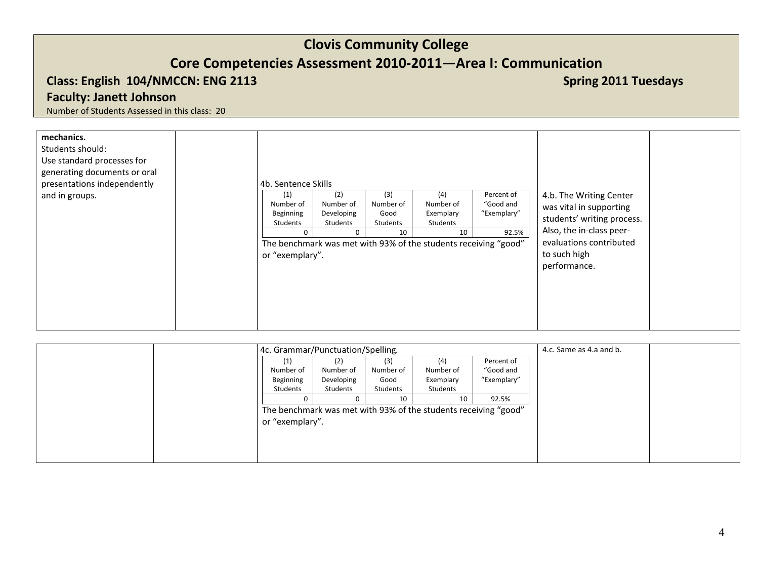## **Core Competencies Assessment 2010-2011—Area I: Communication**

## **Class: English 104/NMCCN: ENG 2113 Spring 2011 Tuesdays Spring 2011 Tuesdays Spring 2011 Tuesdays**

**Faculty: Janett Johnson**

| mechanics.<br>Students should:<br>Use standard processes for<br>generating documents or oral<br>presentations independently<br>and in groups. | 4b. Sentence Skills<br>(1)<br>Number of                 | (2)<br>Number of                       | (3)<br>Number of       | (4)<br>Number of                                                                               | Percent of<br>"Good and | 4.b. The Writing Center<br>was vital in supporting                                                                |  |
|-----------------------------------------------------------------------------------------------------------------------------------------------|---------------------------------------------------------|----------------------------------------|------------------------|------------------------------------------------------------------------------------------------|-------------------------|-------------------------------------------------------------------------------------------------------------------|--|
|                                                                                                                                               | Beginning<br>Students<br>$\mathbf 0$<br>or "exemplary". | Developing<br>Students<br>$\mathbf{0}$ | Good<br>Students<br>10 | Exemplary<br>Students<br>10<br>The benchmark was met with 93% of the students receiving "good" | "Exemplary"<br>92.5%    | students' writing process.<br>Also, the in-class peer-<br>evaluations contributed<br>to such high<br>performance. |  |
|                                                                                                                                               |                                                         |                                        |                        |                                                                                                |                         |                                                                                                                   |  |

| 4c. Grammar/Punctuation/Spelling. |            |           |                                                                 |             | 4.c. Same as 4.a and b. |  |
|-----------------------------------|------------|-----------|-----------------------------------------------------------------|-------------|-------------------------|--|
| (1)                               | (2)        | (3)       | (4)                                                             | Percent of  |                         |  |
| Number of                         | Number of  | Number of | Number of                                                       | "Good and   |                         |  |
| Beginning                         | Developing | Good      | Exemplary                                                       | "Exemplary" |                         |  |
| Students                          | Students   | Students  | Students                                                        |             |                         |  |
|                                   |            | 10        | 10                                                              | 92.5%       |                         |  |
|                                   |            |           | The benchmark was met with 93% of the students receiving "good" |             |                         |  |
| or "exemplary".                   |            |           |                                                                 |             |                         |  |
|                                   |            |           |                                                                 |             |                         |  |
|                                   |            |           |                                                                 |             |                         |  |
|                                   |            |           |                                                                 |             |                         |  |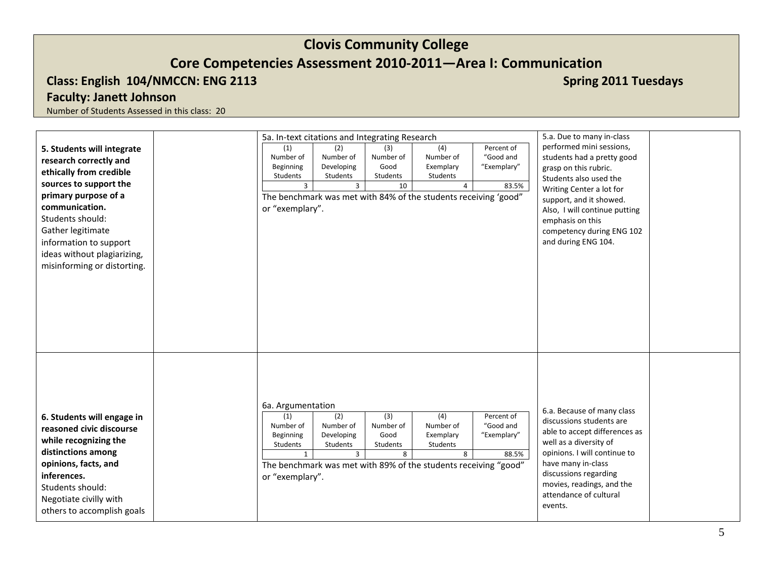## **Class: English 104/NMCCN: ENG 2113 Spring 2011 Tuesdays Spring 2011 Tuesdays Spring 2011 Tuesdays**

**Faculty: Janett Johnson**

|                                                                                                                                                                                                                          | 5a. In-text citations and Integrating Research                                                                                                                                                                                                                                                                                                                                      | 5.a. Due to many in-class                                                                                                                                                                                                                                          |
|--------------------------------------------------------------------------------------------------------------------------------------------------------------------------------------------------------------------------|-------------------------------------------------------------------------------------------------------------------------------------------------------------------------------------------------------------------------------------------------------------------------------------------------------------------------------------------------------------------------------------|--------------------------------------------------------------------------------------------------------------------------------------------------------------------------------------------------------------------------------------------------------------------|
| 5. Students will integrate<br>research correctly and                                                                                                                                                                     | Percent of<br>(1)<br>(2)<br>(3)<br>(4)<br>Number of<br>"Good and<br>Number of<br>Number of<br>Number of<br>Good<br>Beginning<br>Developing<br>Exemplary<br>"Exemplary"                                                                                                                                                                                                              | performed mini sessions,<br>students had a pretty good<br>grasp on this rubric.                                                                                                                                                                                    |
| ethically from credible<br>sources to support the<br>primary purpose of a<br>communication.<br>Students should:                                                                                                          | Students<br>Students<br>Students<br>Students<br>$\overline{3}$<br>10<br>3<br>$\overline{4}$<br>83.5%<br>The benchmark was met with 84% of the students receiving 'good"<br>or "exemplary".                                                                                                                                                                                          | Students also used the<br>Writing Center a lot for<br>support, and it showed.<br>Also, I will continue putting<br>emphasis on this                                                                                                                                 |
| Gather legitimate<br>information to support<br>ideas without plagiarizing,<br>misinforming or distorting.                                                                                                                |                                                                                                                                                                                                                                                                                                                                                                                     | competency during ENG 102<br>and during ENG 104.                                                                                                                                                                                                                   |
| 6. Students will engage in<br>reasoned civic discourse<br>while recognizing the<br>distinctions among<br>opinions, facts, and<br>inferences.<br>Students should:<br>Negotiate civilly with<br>others to accomplish goals | 6a. Argumentation<br>$\overline{(4)}$<br>(2)<br>(3)<br>Percent of<br>(1)<br>Number of<br>Number of<br>Number of<br>"Good and<br>Number of<br>Good<br>Beginning<br>Developing<br>Exemplary<br>"Exemplary"<br>Students<br>Students<br>Students<br>Students<br>$\overline{3}$<br>8<br>8<br>88.5%<br>The benchmark was met with 89% of the students receiving "good"<br>or "exemplary". | 6.a. Because of many class<br>discussions students are<br>able to accept differences as<br>well as a diversity of<br>opinions. I will continue to<br>have many in-class<br>discussions regarding<br>movies, readings, and the<br>attendance of cultural<br>events. |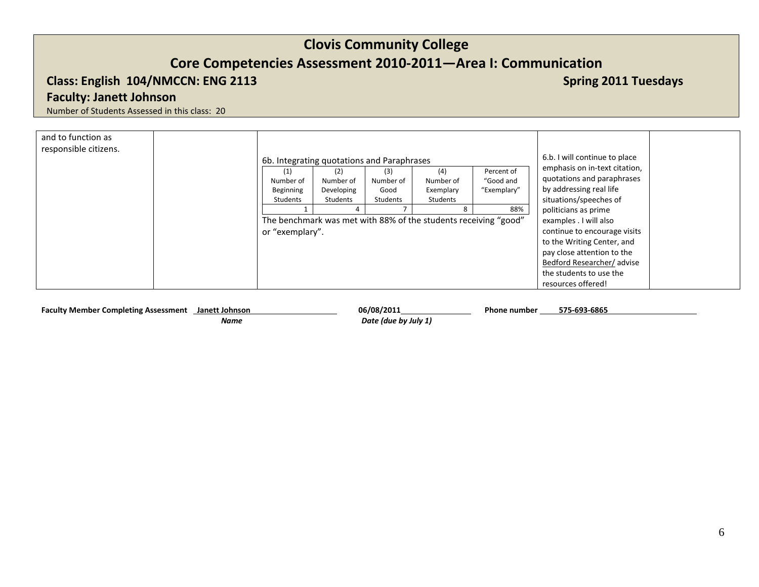## **Core Competencies Assessment 2010-2011—Area I: Communication**

## **Class: English 104/NMCCN: ENG 2113 Class: English 104/NMCCN: ENG 2113**

**Faculty: Janett Johnson**

Number of Students Assessed in this class: 20

| and to function as<br>responsible citizens. |                                            |            |           |                                                                 |             |                               |
|---------------------------------------------|--------------------------------------------|------------|-----------|-----------------------------------------------------------------|-------------|-------------------------------|
|                                             | 6b. Integrating quotations and Paraphrases |            |           | 6.b. I will continue to place                                   |             |                               |
|                                             |                                            | (2)        | (3)       | (4)                                                             | Percent of  | emphasis on in-text citation, |
|                                             | Number of                                  | Number of  | Number of | Number of                                                       | "Good and   | quotations and paraphrases    |
|                                             | Beginning                                  | Developing | Good      | Exemplary                                                       | "Exemplary" | by addressing real life       |
|                                             | Students                                   | Students   | Students  | Students                                                        |             | situations/speeches of        |
|                                             |                                            | Δ          |           |                                                                 | 88%         | politicians as prime          |
|                                             |                                            |            |           | The benchmark was met with 88% of the students receiving "good" |             | examples . I will also        |
|                                             | or "exemplary".                            |            |           |                                                                 |             | continue to encourage visits  |
|                                             |                                            |            |           |                                                                 |             | to the Writing Center, and    |
|                                             |                                            |            |           |                                                                 |             | pay close attention to the    |
|                                             |                                            |            |           |                                                                 |             | Bedford Researcher/advise     |
|                                             |                                            |            |           |                                                                 |             | the students to use the       |
|                                             |                                            |            |           |                                                                 |             | resources offered!            |

Faculty Member Completing Assessment **Janett Johnson 1996** 06/08/2011 1997 06/08/2011 Phone number  *Name Date (due by July 1)* **575-693-6865**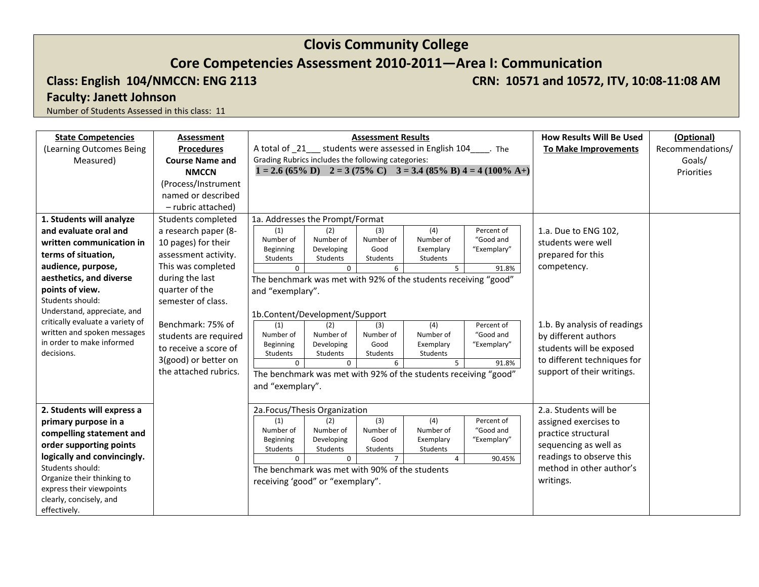## **Core Competencies Assessment 2010-2011—Area I: Communication**

**Class: English 104/NMCCN: ENG 2113 CRN: 10571 and 10572, ITV, 10:08-11:08 AM** 

**Faculty: Janett Johnson**

| <b>State Competencies</b>               | Assessment             |                                                    |                        | <b>Assessment Results</b> |                                                                 |                                                                                                        | <b>How Results Will Be Used</b> | (Optional)       |
|-----------------------------------------|------------------------|----------------------------------------------------|------------------------|---------------------------|-----------------------------------------------------------------|--------------------------------------------------------------------------------------------------------|---------------------------------|------------------|
| (Learning Outcomes Being                | <b>Procedures</b>      |                                                    |                        |                           | A total of 21 students were assessed in English 104 Fine        |                                                                                                        | <b>To Make Improvements</b>     | Recommendations/ |
| Measured)                               | <b>Course Name and</b> | Grading Rubrics includes the following categories: |                        |                           |                                                                 |                                                                                                        |                                 | Goals/           |
|                                         | <b>NMCCN</b>           |                                                    |                        |                           |                                                                 | $1 = 2.6 (65\% \text{ D})$ $2 = 3 (75\% \text{ C})$ $3 = 3.4 (85\% \text{ B}) 4 = 4 (100\% \text{ A})$ |                                 | Priorities       |
|                                         | (Process/Instrument    |                                                    |                        |                           |                                                                 |                                                                                                        |                                 |                  |
|                                         | named or described     |                                                    |                        |                           |                                                                 |                                                                                                        |                                 |                  |
|                                         | - rubric attached)     |                                                    |                        |                           |                                                                 |                                                                                                        |                                 |                  |
| 1. Students will analyze                | Students completed     | 1a. Addresses the Prompt/Format                    |                        |                           |                                                                 |                                                                                                        |                                 |                  |
| and evaluate oral and                   | a research paper (8-   | (1)                                                | (2)                    | (3)                       | (4)                                                             | Percent of                                                                                             | 1.a. Due to ENG 102,            |                  |
| written communication in                | 10 pages) for their    | Number of                                          | Number of              | Number of                 | Number of                                                       | "Good and                                                                                              | students were well              |                  |
| terms of situation,                     | assessment activity.   | Beginning<br>Students                              | Developing<br>Students | Good<br>Students          | Exemplary<br>Students                                           | "Exemplary"                                                                                            | prepared for this               |                  |
| audience, purpose,                      | This was completed     | $\Omega$                                           | $\mathbf{0}$           | 6                         | 5                                                               | 91.8%                                                                                                  | competency.                     |                  |
| aesthetics, and diverse                 | during the last        |                                                    |                        |                           | The benchmark was met with 92% of the students receiving "good" |                                                                                                        |                                 |                  |
| points of view.                         | quarter of the         | and "exemplary".                                   |                        |                           |                                                                 |                                                                                                        |                                 |                  |
| Students should:                        | semester of class.     |                                                    |                        |                           |                                                                 |                                                                                                        |                                 |                  |
| Understand, appreciate, and             |                        | 1b.Content/Development/Support                     |                        |                           |                                                                 |                                                                                                        |                                 |                  |
| critically evaluate a variety of        | Benchmark: 75% of      | (1)                                                | (2)                    | (3)                       | (4)                                                             | Percent of                                                                                             | 1.b. By analysis of readings    |                  |
| written and spoken messages             | students are required  | Number of                                          | Number of              | Number of                 | Number of                                                       | "Good and                                                                                              | by different authors            |                  |
| in order to make informed<br>decisions. | to receive a score of  | Beginning<br>Students                              | Developing<br>Students | Good<br>Students          | Exemplary<br><b>Students</b>                                    | "Exemplary"                                                                                            | students will be exposed        |                  |
|                                         | 3(good) or better on   | $\Omega$                                           | $\Omega$               | 6                         | 5                                                               | 91.8%                                                                                                  | to different techniques for     |                  |
|                                         | the attached rubrics.  |                                                    |                        |                           | The benchmark was met with 92% of the students receiving "good" |                                                                                                        | support of their writings.      |                  |
|                                         |                        | and "exemplary".                                   |                        |                           |                                                                 |                                                                                                        |                                 |                  |
|                                         |                        |                                                    |                        |                           |                                                                 |                                                                                                        |                                 |                  |
| 2. Students will express a              |                        | 2a.Focus/Thesis Organization                       |                        |                           |                                                                 |                                                                                                        | 2.a. Students will be           |                  |
| primary purpose in a                    |                        | (1)                                                | (2)                    | (3)                       | (4)                                                             | Percent of                                                                                             | assigned exercises to           |                  |
| compelling statement and                |                        | Number of                                          | Number of              | Number of                 | Number of                                                       | "Good and                                                                                              | practice structural             |                  |
| order supporting points                 |                        | Beginning<br>Students                              | Developing             | Good<br>Students          | Exemplary<br>Students                                           | "Exemplary"                                                                                            | sequencing as well as           |                  |
| logically and convincingly.             |                        | $\Omega$                                           | Students<br>$\Omega$   | $\overline{7}$            | $\overline{4}$                                                  | 90.45%                                                                                                 | readings to observe this        |                  |
| Students should:                        |                        | The benchmark was met with 90% of the students     |                        |                           |                                                                 |                                                                                                        | method in other author's        |                  |
| Organize their thinking to              |                        | receiving 'good" or "exemplary".                   |                        |                           |                                                                 |                                                                                                        | writings.                       |                  |
| express their viewpoints                |                        |                                                    |                        |                           |                                                                 |                                                                                                        |                                 |                  |
| clearly, concisely, and                 |                        |                                                    |                        |                           |                                                                 |                                                                                                        |                                 |                  |
| effectively.                            |                        |                                                    |                        |                           |                                                                 |                                                                                                        |                                 |                  |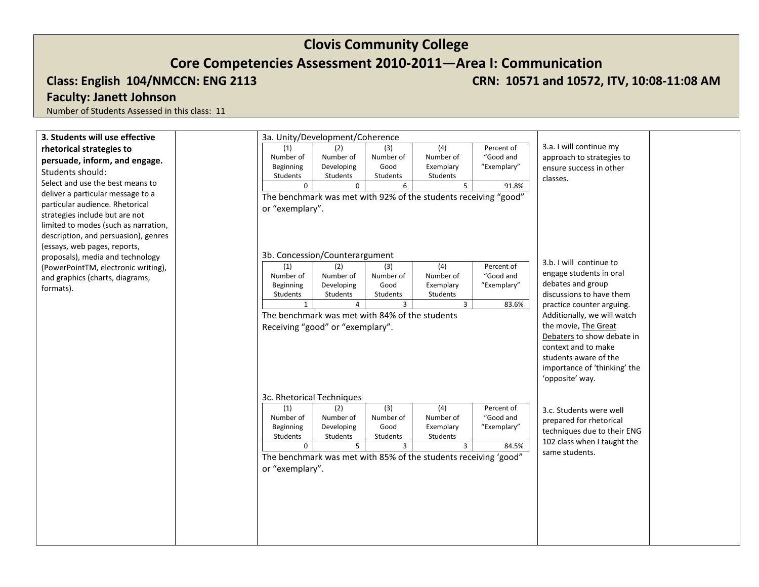**Class: English 104/NMCCN: ENG 2113 CRN: 10571 and 10572, ITV, 10:08-11:08 AM** 

## **Faculty: Janett Johnson**

| 3. Students will use effective       | 3a. Unity/Development/Coherence                |                        |                         |                                                                 |             |                              |
|--------------------------------------|------------------------------------------------|------------------------|-------------------------|-----------------------------------------------------------------|-------------|------------------------------|
| rhetorical strategies to             | (1)                                            | (2)                    | (3)                     | (4)                                                             | Percent of  | 3.a. I will continue my      |
| persuade, inform, and engage.        | Number of                                      | Number of              | Number of               | Number of                                                       | "Good and   | approach to strategies to    |
| Students should:                     | Beginning<br>Students                          | Developing<br>Students | Good<br><b>Students</b> | Exemplary<br>Students                                           | "Exemplary" | ensure success in other      |
| Select and use the best means to     | $\mathbf 0$                                    | $\mathbf 0$            | 6                       | 5                                                               | 91.8%       | classes.                     |
| deliver a particular message to a    |                                                |                        |                         | The benchmark was met with 92% of the students receiving "good" |             |                              |
| particular audience. Rhetorical      | or "exemplary".                                |                        |                         |                                                                 |             |                              |
| strategies include but are not       |                                                |                        |                         |                                                                 |             |                              |
| limited to modes (such as narration, |                                                |                        |                         |                                                                 |             |                              |
| description, and persuasion), genres |                                                |                        |                         |                                                                 |             |                              |
| (essays, web pages, reports,         |                                                |                        |                         |                                                                 |             |                              |
| proposals), media and technology     | 3b. Concession/Counterargument<br>(1)          | (2)                    | (3)                     |                                                                 | Percent of  | 3.b. I will continue to      |
| (PowerPointTM, electronic writing),  | Number of                                      | Number of              | Number of               | (4)<br>Number of                                                | "Good and   | engage students in oral      |
| and graphics (charts, diagrams,      | Beginning                                      | Developing             | Good                    | Exemplary                                                       | "Exemplary" | debates and group            |
| formats).                            | Students                                       | Students               | Students                | Students                                                        |             | discussions to have them     |
|                                      | $\mathbf{1}$                                   | $\overline{4}$         | 3                       | $\overline{3}$                                                  | 83.6%       | practice counter arguing.    |
|                                      | The benchmark was met with 84% of the students |                        |                         |                                                                 |             | Additionally, we will watch  |
|                                      | Receiving "good" or "exemplary".               |                        |                         |                                                                 |             | the movie, The Great         |
|                                      |                                                |                        |                         |                                                                 |             | Debaters to show debate in   |
|                                      |                                                |                        |                         |                                                                 |             | context and to make          |
|                                      |                                                |                        |                         |                                                                 |             | students aware of the        |
|                                      |                                                |                        |                         |                                                                 |             | importance of 'thinking' the |
|                                      |                                                |                        |                         |                                                                 |             | 'opposite' way.              |
|                                      | 3c. Rhetorical Techniques                      |                        |                         |                                                                 |             |                              |
|                                      | (1)                                            | (2)                    | (3)                     | (4)                                                             | Percent of  | 3.c. Students were well      |
|                                      | Number of                                      | Number of              | Number of               | Number of                                                       | "Good and   | prepared for rhetorical      |
|                                      | Beginning<br>Students                          | Developing<br>Students | Good<br>Students        | Exemplary<br>Students                                           | "Exemplary" | techniques due to their ENG  |
|                                      | $\mathbf{0}$                                   | 5                      | 3                       | 3                                                               | 84.5%       | 102 class when I taught the  |
|                                      |                                                |                        |                         | The benchmark was met with 85% of the students receiving 'good" |             | same students.               |
|                                      | or "exemplary".                                |                        |                         |                                                                 |             |                              |
|                                      |                                                |                        |                         |                                                                 |             |                              |
|                                      |                                                |                        |                         |                                                                 |             |                              |
|                                      |                                                |                        |                         |                                                                 |             |                              |
|                                      |                                                |                        |                         |                                                                 |             |                              |
|                                      |                                                |                        |                         |                                                                 |             |                              |
|                                      |                                                |                        |                         |                                                                 |             |                              |
|                                      |                                                |                        |                         |                                                                 |             |                              |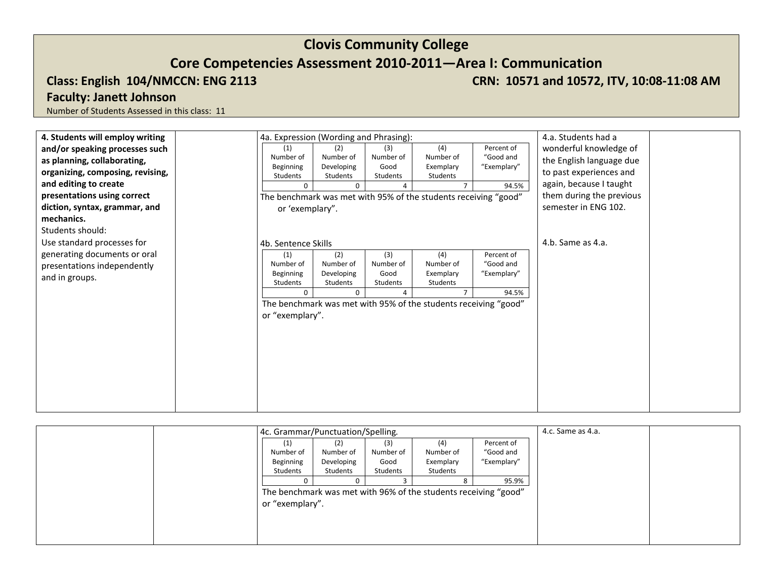**Class: English 104/NMCCN: ENG 2113 CRN: 10571 and 10572, ITV, 10:08-11:08 AM** 

## **Faculty: Janett Johnson**

| 4. Students will employ writing  | 4a. Expression (Wording and Phrasing): |                        |                  |                                                                 |             | 4.a. Students had a      |
|----------------------------------|----------------------------------------|------------------------|------------------|-----------------------------------------------------------------|-------------|--------------------------|
| and/or speaking processes such   | (1)                                    | (2)                    | (3)              | (4)                                                             | Percent of  | wonderful knowledge of   |
| as planning, collaborating,      | Number of                              | Number of              | Number of        | Number of                                                       | "Good and   | the English language due |
| organizing, composing, revising, | Beginning<br>Students                  | Developing<br>Students | Good<br>Students | Exemplary<br>Students                                           | "Exemplary" | to past experiences and  |
| and editing to create            | $\mathbf 0$                            | 0                      | 4                |                                                                 | 94.5%       | again, because I taught  |
| presentations using correct      |                                        |                        |                  | The benchmark was met with 95% of the students receiving "good" |             | them during the previous |
| diction, syntax, grammar, and    | or 'exemplary".                        |                        |                  |                                                                 |             | semester in ENG 102.     |
| mechanics.                       |                                        |                        |                  |                                                                 |             |                          |
| Students should:                 |                                        |                        |                  |                                                                 |             |                          |
| Use standard processes for       | 4b. Sentence Skills                    |                        |                  |                                                                 |             | 4.b. Same as 4.a.        |
| generating documents or oral     | (1)                                    | (2)                    | (3)              | (4)                                                             | Percent of  |                          |
| presentations independently      | Number of                              | Number of              | Number of        | Number of                                                       | "Good and   |                          |
| and in groups.                   | Beginning<br>Students                  | Developing<br>Students | Good<br>Students | Exemplary<br>Students                                           | "Exemplary" |                          |
|                                  | $\Omega$                               | $\Omega$               | $\overline{4}$   |                                                                 | 94.5%       |                          |
|                                  |                                        |                        |                  | The benchmark was met with 95% of the students receiving "good" |             |                          |
|                                  | or "exemplary".                        |                        |                  |                                                                 |             |                          |
|                                  |                                        |                        |                  |                                                                 |             |                          |
|                                  |                                        |                        |                  |                                                                 |             |                          |
|                                  |                                        |                        |                  |                                                                 |             |                          |
|                                  |                                        |                        |                  |                                                                 |             |                          |
|                                  |                                        |                        |                  |                                                                 |             |                          |
|                                  |                                        |                        |                  |                                                                 |             |                          |
|                                  |                                        |                        |                  |                                                                 |             |                          |
|                                  |                                        |                        |                  |                                                                 |             |                          |

| 4c. Grammar/Punctuation/Spelling. |            |           |                                                                 |             | 4.c. Same as 4.a. |  |
|-----------------------------------|------------|-----------|-----------------------------------------------------------------|-------------|-------------------|--|
| (1)                               | (2)        | (3)       | (4)                                                             | Percent of  |                   |  |
| Number of                         | Number of  | Number of | Number of                                                       | "Good and   |                   |  |
| Beginning                         | Developing | Good      | Exemplary                                                       | "Exemplary" |                   |  |
| Students                          | Students   | Students  | Students                                                        |             |                   |  |
|                                   |            |           |                                                                 | 95.9%       |                   |  |
|                                   |            |           | The benchmark was met with 96% of the students receiving "good" |             |                   |  |
| or "exemplary".                   |            |           |                                                                 |             |                   |  |
|                                   |            |           |                                                                 |             |                   |  |
|                                   |            |           |                                                                 |             |                   |  |
|                                   |            |           |                                                                 |             |                   |  |
|                                   |            |           |                                                                 |             |                   |  |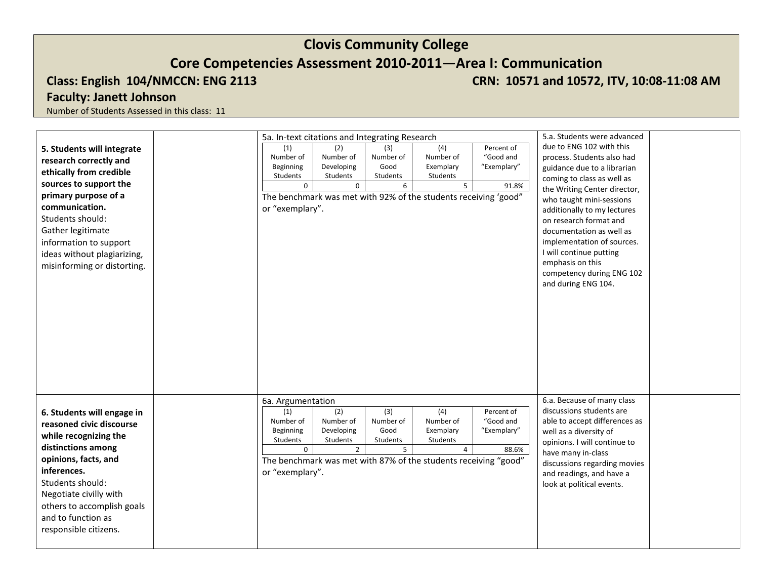**Class: English 104/NMCCN: ENG 2113 CRN: 10571 and 10572, ITV, 10:08-11:08 AM** 

## **Faculty: Janett Johnson**

| 5. Students will integrate<br>research correctly and<br>ethically from credible<br>sources to support the<br>primary purpose of a<br>communication.<br>Students should:<br>Gather legitimate<br>information to support<br>ideas without plagiarizing,                   | 5a. In-text citations and Integrating Research<br>(1)<br>Number of<br>Beginning<br>Students<br>$\mathbf 0$<br>or "exemplary". | (2)<br>Number of<br>Developing<br>Students<br>$\mathbf 0$    | (3)<br>Number of<br>Good<br>Students<br>6            | (4)<br>Number of<br>Exemplary<br>Students<br>5<br>The benchmark was met with 92% of the students receiving 'good"                           | Percent of<br>"Good and<br>"Exemplary"<br>91.8% | 5.a. Students were advanced<br>due to ENG 102 with this<br>process. Students also had<br>guidance due to a librarian<br>coming to class as well as<br>the Writing Center director,<br>who taught mini-sessions<br>additionally to my lectures<br>on research format and<br>documentation as well as<br>implementation of sources.<br>I will continue putting |
|-------------------------------------------------------------------------------------------------------------------------------------------------------------------------------------------------------------------------------------------------------------------------|-------------------------------------------------------------------------------------------------------------------------------|--------------------------------------------------------------|------------------------------------------------------|---------------------------------------------------------------------------------------------------------------------------------------------|-------------------------------------------------|--------------------------------------------------------------------------------------------------------------------------------------------------------------------------------------------------------------------------------------------------------------------------------------------------------------------------------------------------------------|
| misinforming or distorting.                                                                                                                                                                                                                                             |                                                                                                                               |                                                              |                                                      |                                                                                                                                             |                                                 | emphasis on this<br>competency during ENG 102<br>and during ENG 104.                                                                                                                                                                                                                                                                                         |
| 6. Students will engage in<br>reasoned civic discourse<br>while recognizing the<br>distinctions among<br>opinions, facts, and<br>inferences.<br>Students should:<br>Negotiate civilly with<br>others to accomplish goals<br>and to function as<br>responsible citizens. | 6a. Argumentation<br>(1)<br>Number of<br>Beginning<br>Students<br>$\mathbf{0}$<br>or "exemplary".                             | (2)<br>Number of<br>Developing<br>Students<br>$\overline{2}$ | $\overline{3}$<br>Number of<br>Good<br>Students<br>5 | $\overline{(4)}$<br>Number of<br>Exemplary<br>Students<br>$\overline{4}$<br>The benchmark was met with 87% of the students receiving "good" | Percent of<br>"Good and<br>"Exemplary"<br>88.6% | 6.a. Because of many class<br>discussions students are<br>able to accept differences as<br>well as a diversity of<br>opinions. I will continue to<br>have many in-class<br>discussions regarding movies<br>and readings, and have a<br>look at political events.                                                                                             |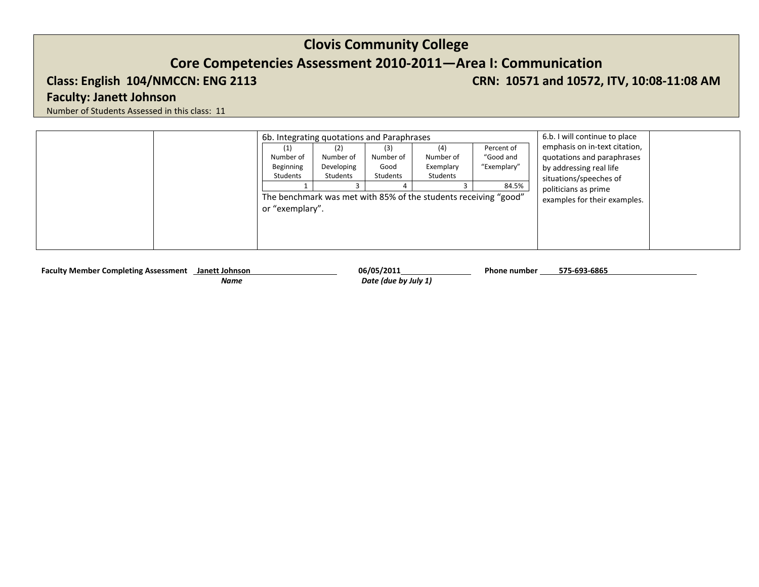**Class: English 104/NMCCN: ENG 2113 CRN: 10571 and 10572, ITV, 10:08-11:08 AM** 

## **Faculty: Janett Johnson**

Number of Students Assessed in this class: 11

| 6b. Integrating quotations and Paraphrases |                                            |                                      | 6.b. I will continue to place                                                                                |                                                 |                                                                                                                                                                          |
|--------------------------------------------|--------------------------------------------|--------------------------------------|--------------------------------------------------------------------------------------------------------------|-------------------------------------------------|--------------------------------------------------------------------------------------------------------------------------------------------------------------------------|
| (1)<br>Number of<br>Beginning<br>Students  | (2)<br>Number of<br>Developing<br>Students | (3)<br>Number of<br>Good<br>Students | (4)<br>Number of<br>Exemplary<br>Students<br>The benchmark was met with 85% of the students receiving "good" | Percent of<br>"Good and<br>"Exemplary"<br>84.5% | emphasis on in-text citation,<br>quotations and paraphrases<br>by addressing real life<br>situations/speeches of<br>politicians as prime<br>examples for their examples. |
| or "exemplary".                            |                                            |                                      |                                                                                                              |                                                 |                                                                                                                                                                          |

Faculty Member Completing Assessment **Janett Johnson** 06/05/2011 06/05/2011 Phone number

 *Name Date (due by July 1)*

**575-693-6865**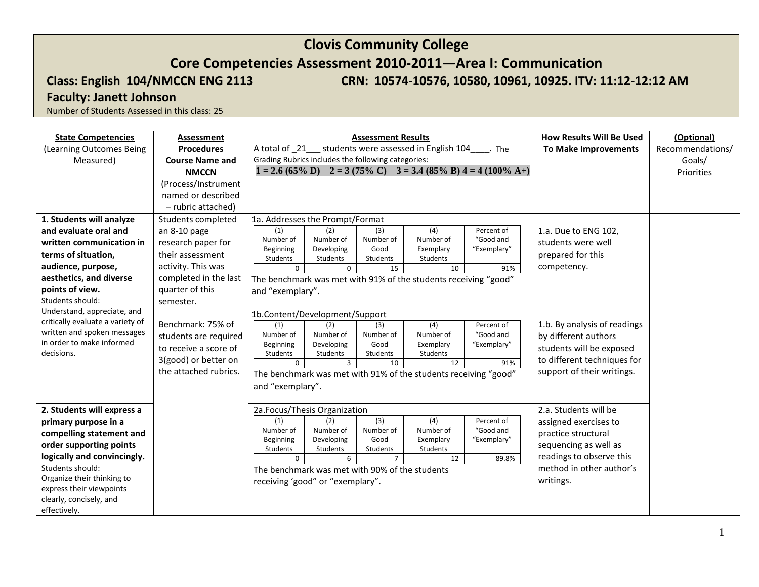## **Core Competencies Assessment 2010-2011—Area I: Communication**

**Class: English 104/NMCCN ENG 2113 CRN: 10574-10576, 10580, 10961, 10925. ITV: 11:12-12:12 AM** 

## **Faculty: Janett Johnson**

| <b>State Competencies</b>               | Assessment             |                                                                 |                                                                                                        | <b>Assessment Results</b>  | <b>How Results Will Be Used</b>                                 | (Optional)            |                              |  |
|-----------------------------------------|------------------------|-----------------------------------------------------------------|--------------------------------------------------------------------------------------------------------|----------------------------|-----------------------------------------------------------------|-----------------------|------------------------------|--|
| (Learning Outcomes Being                | <b>Procedures</b>      | A total of 21 students were assessed in English 104 Fine        |                                                                                                        |                            | <b>To Make Improvements</b>                                     | Recommendations/      |                              |  |
| Measured)                               | <b>Course Name and</b> | Grading Rubrics includes the following categories:              |                                                                                                        |                            |                                                                 | Goals/                |                              |  |
|                                         | <b>NMCCN</b>           |                                                                 | $1 = 2.6 (65\% \text{ D})$ $2 = 3 (75\% \text{ C})$ $3 = 3.4 (85\% \text{ B}) 4 = 4 (100\% \text{ A})$ |                            |                                                                 | Priorities            |                              |  |
|                                         | (Process/Instrument    |                                                                 |                                                                                                        |                            |                                                                 |                       |                              |  |
|                                         | named or described     |                                                                 |                                                                                                        |                            |                                                                 |                       |                              |  |
|                                         | - rubric attached)     |                                                                 |                                                                                                        |                            |                                                                 |                       |                              |  |
| 1. Students will analyze                | Students completed     | 1a. Addresses the Prompt/Format                                 |                                                                                                        |                            |                                                                 |                       |                              |  |
| and evaluate oral and                   | an 8-10 page           | (1)                                                             | (2)                                                                                                    | (3)                        | (4)                                                             | Percent of            | 1.a. Due to ENG 102,         |  |
| written communication in                | research paper for     | Number of                                                       | Number of                                                                                              | Number of                  | Number of                                                       | "Good and             | students were well           |  |
| terms of situation,                     | their assessment       | Beginning<br>Students                                           | Developing<br>Students                                                                                 | Good<br>Students           | Exemplary<br>Students                                           | "Exemplary"           | prepared for this            |  |
| audience, purpose,                      | activity. This was     | $\Omega$                                                        | $\Omega$                                                                                               | 15                         | 10                                                              | 91%                   | competency.                  |  |
| aesthetics, and diverse                 | completed in the last  | The benchmark was met with 91% of the students receiving "good" |                                                                                                        |                            |                                                                 |                       |                              |  |
| points of view.                         | quarter of this        | and "exemplary".                                                |                                                                                                        |                            |                                                                 |                       |                              |  |
| Students should:                        | semester.              |                                                                 |                                                                                                        |                            |                                                                 |                       |                              |  |
| Understand, appreciate, and             |                        | 1b.Content/Development/Support                                  |                                                                                                        |                            |                                                                 |                       |                              |  |
| critically evaluate a variety of        | Benchmark: 75% of      | (1)                                                             | (2)                                                                                                    | (3)                        | $\overline{(4)}$                                                | Percent of            | 1.b. By analysis of readings |  |
| written and spoken messages             | students are required  | Number of                                                       | Number of                                                                                              | Number of                  | Number of                                                       | "Good and             | by different authors         |  |
| in order to make informed<br>decisions. | to receive a score of  | Beginning<br>Students                                           | Developing                                                                                             | Good                       | Exemplary<br>Students                                           | "Exemplary"           | students will be exposed     |  |
|                                         | 3(good) or better on   | $\Omega$                                                        | Students<br>$\overline{3}$                                                                             | Students<br>10             | 12                                                              | 91%                   | to different techniques for  |  |
|                                         | the attached rubrics.  |                                                                 |                                                                                                        |                            | The benchmark was met with 91% of the students receiving "good" |                       | support of their writings.   |  |
|                                         |                        | and "exemplary".                                                |                                                                                                        |                            |                                                                 |                       |                              |  |
|                                         |                        |                                                                 |                                                                                                        |                            |                                                                 |                       |                              |  |
| 2. Students will express a              |                        | 2a.Focus/Thesis Organization                                    |                                                                                                        |                            |                                                                 | 2.a. Students will be |                              |  |
| primary purpose in a                    |                        | (1)                                                             | (2)                                                                                                    | (3)                        | (4)                                                             | Percent of            | assigned exercises to        |  |
| compelling statement and                |                        | Number of                                                       | Number of                                                                                              | Number of                  | Number of                                                       | "Good and             | practice structural          |  |
| order supporting points                 |                        | Beginning                                                       | Developing                                                                                             | Good                       | Exemplary                                                       | "Exemplary"           | sequencing as well as        |  |
| logically and convincingly.             |                        | Students<br>$\Omega$                                            | Students<br>6                                                                                          | Students<br>$\overline{7}$ | Students<br>12                                                  | 89.8%                 | readings to observe this     |  |
| Students should:                        |                        | The benchmark was met with 90% of the students                  |                                                                                                        |                            | method in other author's                                        |                       |                              |  |
| Organize their thinking to              |                        | receiving 'good" or "exemplary".                                |                                                                                                        |                            | writings.                                                       |                       |                              |  |
| express their viewpoints                |                        |                                                                 |                                                                                                        |                            |                                                                 |                       |                              |  |
| clearly, concisely, and                 |                        |                                                                 |                                                                                                        |                            |                                                                 |                       |                              |  |
| effectively.                            |                        |                                                                 |                                                                                                        |                            |                                                                 |                       |                              |  |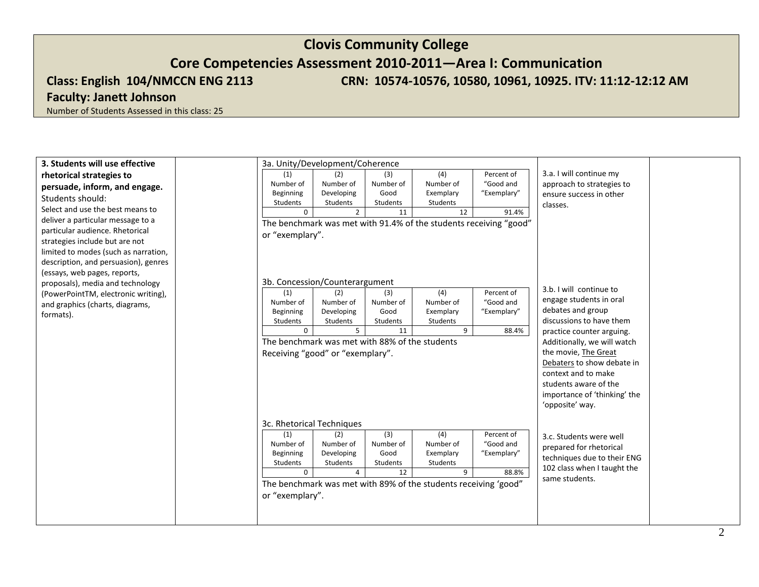# **Clovis Community College Core Competencies Assessment 2010-2011—Area I: Communication Class: English 104/NMCCN ENG 2113 CRN: 10574-10576, 10580, 10961, 10925. ITV: 11:12-12:12 AM**

## **Faculty: Janett Johnson**

| 3. Students will use effective                 |                                  | 3a. Unity/Development/Coherence                                   |                                                   |                |             |                                                          |  |
|------------------------------------------------|----------------------------------|-------------------------------------------------------------------|---------------------------------------------------|----------------|-------------|----------------------------------------------------------|--|
| rhetorical strategies to                       | (1)                              | (2)                                                               | (3)                                               | (4)            | Percent of  | 3.a. I will continue my                                  |  |
| persuade, inform, and engage.                  | Number of                        | Number of                                                         | Number of                                         | Number of      | "Good and   | approach to strategies to                                |  |
| Students should:                               | Beginning                        | Developing                                                        | Good                                              | Exemplary      | "Exemplary" | ensure success in other                                  |  |
| Select and use the best means to               | Students                         | Students<br>$\Omega$<br>$2^{\circ}$                               | Students<br>11                                    | Students<br>12 |             | classes.                                                 |  |
| deliver a particular message to a              |                                  |                                                                   |                                                   |                | 91.4%       |                                                          |  |
| particular audience. Rhetorical                |                                  | The benchmark was met with 91.4% of the students receiving "good" |                                                   |                |             |                                                          |  |
| strategies include but are not                 | or "exemplary".                  |                                                                   |                                                   |                |             |                                                          |  |
| limited to modes (such as narration,           |                                  |                                                                   |                                                   |                |             |                                                          |  |
| description, and persuasion), genres           |                                  |                                                                   |                                                   |                |             |                                                          |  |
| (essays, web pages, reports,                   |                                  |                                                                   |                                                   |                |             |                                                          |  |
| proposals), media and technology               |                                  | 3b. Concession/Counterargument                                    |                                                   |                |             |                                                          |  |
| (PowerPointTM, electronic writing),            | (1)                              | (2)                                                               | (3)                                               | (4)            | Percent of  | 3.b. I will continue to                                  |  |
| and graphics (charts, diagrams,                | Number of                        | Number of                                                         | Number of                                         | Number of      | "Good and   | engage students in oral                                  |  |
| formats).                                      | Beginning                        | Developing                                                        | Good                                              | Exemplary      | "Exemplary" | debates and group<br>discussions to have them            |  |
|                                                | Students                         | Students<br>$\Omega$<br>$5^{\circ}$                               | Students<br>11                                    | Students<br>9  | 88.4%       |                                                          |  |
|                                                |                                  |                                                                   |                                                   |                |             | practice counter arguing.<br>Additionally, we will watch |  |
| The benchmark was met with 88% of the students |                                  |                                                                   |                                                   |                |             | the movie, The Great                                     |  |
|                                                | Receiving "good" or "exemplary". |                                                                   |                                                   |                |             |                                                          |  |
|                                                |                                  |                                                                   | Debaters to show debate in<br>context and to make |                |             |                                                          |  |
|                                                |                                  | students aware of the                                             |                                                   |                |             |                                                          |  |
|                                                |                                  | importance of 'thinking' the                                      |                                                   |                |             |                                                          |  |
|                                                |                                  |                                                                   |                                                   |                |             | 'opposite' way.                                          |  |
|                                                |                                  |                                                                   |                                                   |                |             |                                                          |  |
|                                                |                                  | 3c. Rhetorical Techniques                                         |                                                   |                |             |                                                          |  |
|                                                | (1)                              | (2)                                                               | (3)                                               | (4)            | Percent of  | 3.c. Students were well                                  |  |
|                                                | Number of                        | Number of                                                         | Number of                                         | Number of      | "Good and   | prepared for rhetorical                                  |  |
|                                                | Beginning                        | Developing                                                        | Good                                              | Exemplary      | "Exemplary" | techniques due to their ENG                              |  |
|                                                | Students                         | Students<br>$\mathbf 0$<br>$\overline{4}$                         | Students<br>12                                    | Students<br>9  | 88.8%       | 102 class when I taught the                              |  |
|                                                |                                  | The benchmark was met with 89% of the students receiving 'good"   |                                                   |                |             | same students.                                           |  |
|                                                | or "exemplary".                  |                                                                   |                                                   |                |             |                                                          |  |
|                                                |                                  |                                                                   |                                                   |                |             |                                                          |  |
|                                                |                                  |                                                                   |                                                   |                |             |                                                          |  |
|                                                |                                  |                                                                   |                                                   |                |             |                                                          |  |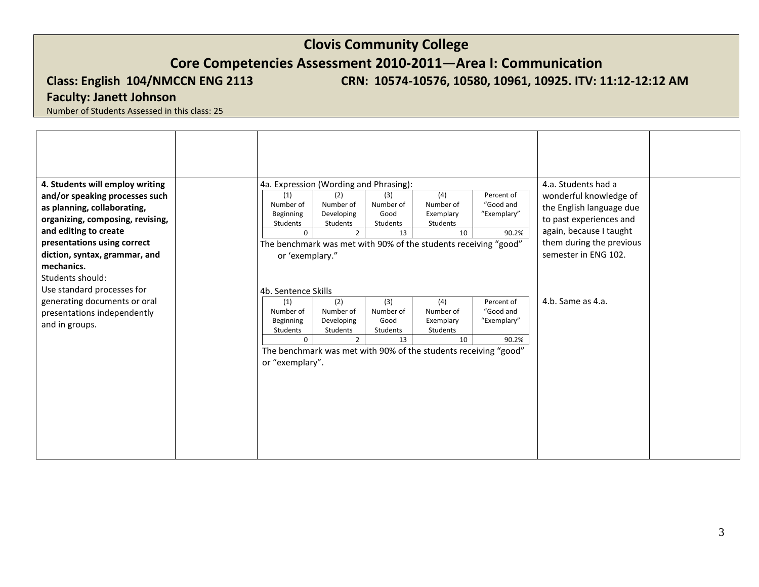**Class: English 104/NMCCN ENG 2113 CRN: 10574-10576, 10580, 10961, 10925. ITV: 11:12-12:12 AM** 

## **Faculty: Janett Johnson**

| 4. Students will employ writing<br>and/or speaking processes such                                                                                                                          | 4a. Expression (Wording and Phrasing):<br>(4)<br>Percent of<br>(3)<br>(2)<br>(1)                                                                                                                                                                                                                                                                                                    |                                                                                                                                    |  |  |  |  |  |  |
|--------------------------------------------------------------------------------------------------------------------------------------------------------------------------------------------|-------------------------------------------------------------------------------------------------------------------------------------------------------------------------------------------------------------------------------------------------------------------------------------------------------------------------------------------------------------------------------------|------------------------------------------------------------------------------------------------------------------------------------|--|--|--|--|--|--|
| as planning, collaborating,<br>organizing, composing, revising,<br>and editing to create<br>presentations using correct<br>diction, syntax, grammar, and<br>mechanics.<br>Students should: | Number of<br>Number of<br>Number of<br>Number of<br>"Good and<br>Developing<br>Good<br>"Exemplary"<br>Beginning<br>Exemplary<br>Students<br>Students<br>Students<br>Students<br>$2^{\circ}$<br>13<br>10<br>90.2%<br>$\Omega$<br>The benchmark was met with 90% of the students receiving "good"<br>or 'exemplary."                                                                  | the English language due<br>to past experiences and<br>again, because I taught<br>them during the previous<br>semester in ENG 102. |  |  |  |  |  |  |
| Use standard processes for<br>generating documents or oral<br>presentations independently<br>and in groups.                                                                                | 4b. Sentence Skills<br>(3)<br>Percent of<br>(2)<br>(4)<br>(1)<br>Number of<br>Number of<br>"Good and<br>Number of<br>Number of<br>Good<br>Beginning<br>Developing<br>Exemplary<br>"Exemplary"<br>Students<br>Students<br>Students<br>Students<br>$2^{\circ}$<br>13<br>10<br>90.2%<br>$\Omega$<br>The benchmark was met with 90% of the students receiving "good"<br>or "exemplary". | 4.b. Same as 4.a.                                                                                                                  |  |  |  |  |  |  |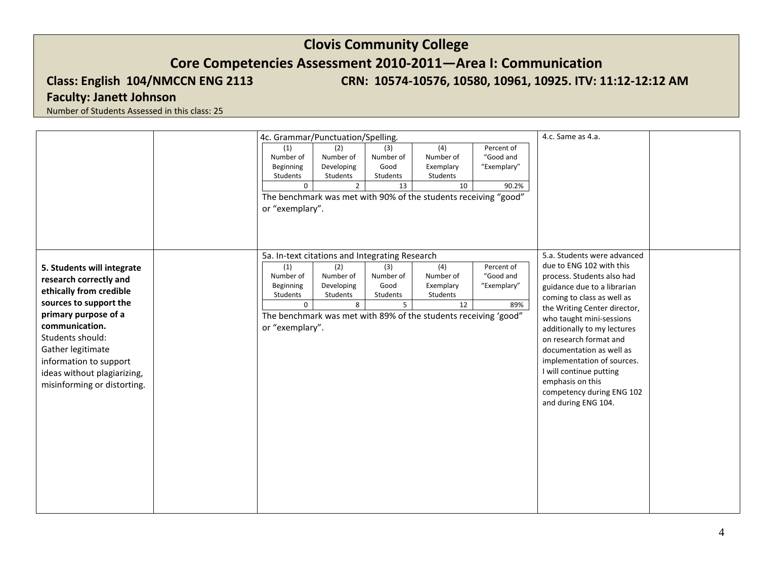## **Clovis Community College Core Competencies Assessment 2010-2011—Area I: Communication Class: English 104/NMCCN ENG 2113 CRN: 10574-10576, 10580, 10961, 10925. ITV: 11:12-12:12 AM**

## **Faculty: Janett Johnson**

|                                                                                                                                                                                                                                                                                      | 4c. Grammar/Punctuation/Spelling.                                                                                             | 4.c. Same as 4.a.                                         |                                                        |                                                                                                                    |                                                 |                                                                                                                                                                                                                                                                                                                                                                                                                                      |  |
|--------------------------------------------------------------------------------------------------------------------------------------------------------------------------------------------------------------------------------------------------------------------------------------|-------------------------------------------------------------------------------------------------------------------------------|-----------------------------------------------------------|--------------------------------------------------------|--------------------------------------------------------------------------------------------------------------------|-------------------------------------------------|--------------------------------------------------------------------------------------------------------------------------------------------------------------------------------------------------------------------------------------------------------------------------------------------------------------------------------------------------------------------------------------------------------------------------------------|--|
|                                                                                                                                                                                                                                                                                      | (1)<br>Number of<br>Beginning<br>Students<br>$\mathbf 0$<br>or "exemplary".                                                   | (2)<br>Number of<br>Developing<br>Students<br>$2^{\circ}$ | (3)<br>Number of<br>Good<br>Students<br>13             | (4)<br>Number of<br>Exemplary<br>Students<br>10<br>The benchmark was met with 90% of the students receiving "good" | Percent of<br>"Good and<br>"Exemplary"<br>90.2% |                                                                                                                                                                                                                                                                                                                                                                                                                                      |  |
| 5. Students will integrate<br>research correctly and<br>ethically from credible<br>sources to support the<br>primary purpose of a<br>communication.<br>Students should:<br>Gather legitimate<br>information to support<br>ideas without plagiarizing,<br>misinforming or distorting. | 5a. In-text citations and Integrating Research<br>(1)<br>Number of<br>Beginning<br>Students<br>$\mathbf 0$<br>or "exemplary". | (2)<br>Number of<br>Developing<br>Students<br>8           | (3)<br>Number of<br>Good<br>Students<br>5 <sup>1</sup> | (4)<br>Number of<br>Exemplary<br>Students<br>12<br>The benchmark was met with 89% of the students receiving 'good" | Percent of<br>"Good and<br>"Exemplary"<br>89%   | 5.a. Students were advanced<br>due to ENG 102 with this<br>process. Students also had<br>guidance due to a librarian<br>coming to class as well as<br>the Writing Center director,<br>who taught mini-sessions<br>additionally to my lectures<br>on research format and<br>documentation as well as<br>implementation of sources.<br>I will continue putting<br>emphasis on this<br>competency during ENG 102<br>and during ENG 104. |  |